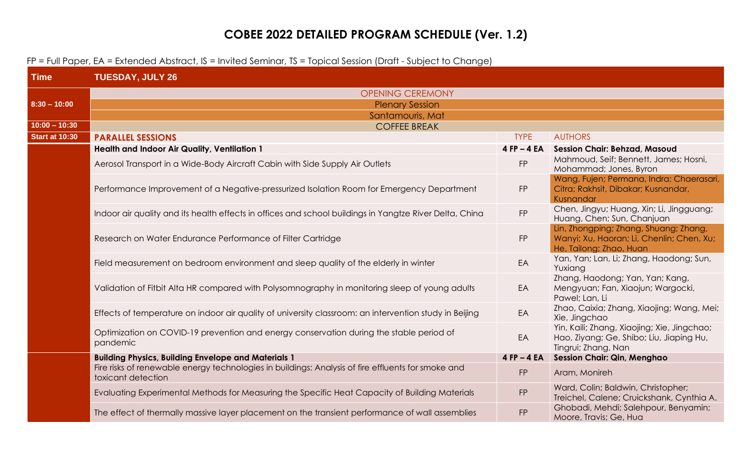## **COBEE 2022 DETAILED PROGRAM SCHEDULE (Ver. 1.2)**

## FP = Full Paper, EA = Extended Abstract, IS = Invited Seminar, TS = Topical Session (Draft - Subject to Change)

| <b>Time</b>           | <b>TUESDAY, JULY 26</b>                                                                                                  |                 |                                                                                                                |
|-----------------------|--------------------------------------------------------------------------------------------------------------------------|-----------------|----------------------------------------------------------------------------------------------------------------|
|                       | <b>OPENING CEREMONY</b>                                                                                                  |                 |                                                                                                                |
| $8:30 - 10:00$        | <b>Plenary Session</b>                                                                                                   |                 |                                                                                                                |
|                       | Santamouris, Mat                                                                                                         |                 |                                                                                                                |
| $10:00 - 10:30$       | <b>COFFEE BREAK</b>                                                                                                      |                 |                                                                                                                |
| <b>Start at 10:30</b> | <b>PARALLEL SESSIONS</b>                                                                                                 | <b>TYPE</b>     | <b>AUTHORS</b>                                                                                                 |
|                       | Health and Indoor Air Quality, Ventilation 1                                                                             | $4$ FP $-$ 4 EA | <b>Session Chair: Behzad, Masoud</b>                                                                           |
|                       | Aerosol Transport in a Wide-Body Aircraft Cabin with Side Supply Air Outlets                                             | <b>FP</b>       | Mahmoud, Seif; Bennett, James; Hosni,<br>Mohammad; Jones, Byron                                                |
|                       | Performance Improvement of a Negative-pressurized Isolation Room for Emergency Department                                | <b>FP</b>       | Wang, Fujen; Permana, Indra; Chaerasari,<br>Citra; Rakhsit, Dibakar; Kusnandar,<br>Kusnandar                   |
|                       | Indoor air quality and its health effects in offices and school buildings in Yangtze River Delta, China                  | FP              | Chen, Jingyu; Huang, Xin; Li, Jingguang;<br>Huang, Chen; Sun, Chanjuan                                         |
|                       | Research on Water Endurance Performance of Filter Cartridge                                                              | FP              | Lin, Zhongping; Zhang, Shuang; Zhang,<br>Wanyi; Xu, Haoran; Li, Chenlin; Chen, Xu;<br>He, Tailong; Zhao, Huan  |
|                       | Field measurement on bedroom environment and sleep quality of the elderly in winter                                      | EA              | Yan, Yan; Lan, Li; Zhang, Haodong; Sun,<br>Yuxiang                                                             |
|                       | Validation of Fitbit Alta HR compared with Polysomnography in monitoring sleep of young adults                           | EA              | Zhang, Haodong; Yan, Yan; Kang,<br>Mengyuan; Fan, Xiaojun; Wargocki,<br>Pawel; Lan, Li                         |
|                       | Effects of temperature on indoor air quality of university classroom: an intervention study in Beijing                   | EA              | Zhao, Caixia; Zhang, Xiaojing; Wang, Mei;<br>Xie, Jingchao                                                     |
|                       | Optimization on COVID-19 prevention and energy conservation during the stable period of<br>pandemic                      | EA              | Yin, Kaili; Zhang, Xiaojing; Xie, Jingchao;<br>Hao, Ziyang; Ge, Shibo; Liu, Jiaping Hu,<br>Tingrui; Zhang, Nan |
|                       | <b>Building Physics, Building Envelope and Materials 1</b>                                                               | $4$ FP $-$ 4 EA | <b>Session Chair: Qin, Menghao</b>                                                                             |
|                       | Fire risks of renewable energy technologies in buildings: Analysis of fire effluents for smoke and<br>toxicant detection | FP              | Aram, Monireh                                                                                                  |
|                       | Evaluating Experimental Methods for Measuring the Specific Heat Capacity of Building Materials                           | FP              | Ward, Colin; Baldwin, Christopher;<br>Treichel, Calene; Cruickshank, Cynthia A.                                |
|                       | The effect of thermally massive layer placement on the transient performance of wall assemblies                          | <b>FP</b>       | Ghobadi, Mehdi; Salehpour, Benyamin;<br>Moore, Travis; Ge, Hua                                                 |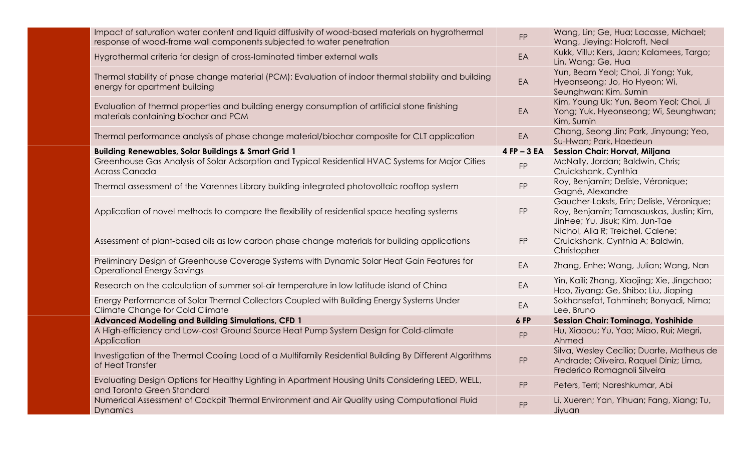| Impact of saturation water content and liquid diffusivity of wood-based materials on hygrothermal<br>response of wood-frame wall components subjected to water penetration | <b>FP</b>      | Wang, Lin; Ge, Hua; Lacasse, Michael;<br>Wang, Jieying; Holcroft, Neal                                                   |
|----------------------------------------------------------------------------------------------------------------------------------------------------------------------------|----------------|--------------------------------------------------------------------------------------------------------------------------|
| Hygrothermal criteria for design of cross-laminated timber external walls                                                                                                  | EA             | Kukk, Villu; Kers, Jaan; Kalamees, Targo;<br>Lin, Wang; Ge, Hua                                                          |
| Thermal stability of phase change material (PCM): Evaluation of indoor thermal stability and building<br>energy for apartment building                                     | EA             | Yun, Beom Yeol; Choi, Ji Yong; Yuk,<br>Hyeonseong; Jo, Ho Hyeon; Wi,<br>Seunghwan; Kim, Sumin                            |
| Evaluation of thermal properties and building energy consumption of artificial stone finishing<br>materials containing biochar and PCM                                     | EA             | Kim, Young Uk; Yun, Beom Yeol; Choi, Ji<br>Yong; Yuk, Hyeonseong; Wi, Seunghwan;<br>Kim, Sumin                           |
| Thermal performance analysis of phase change material/biochar composite for CLT application                                                                                | EA             | Chang, Seong Jin; Park, Jinyoung; Yeo,<br>Su-Hwan; Park, Haedeun                                                         |
| <b>Building Renewables, Solar Buildings &amp; Smart Grid 1</b>                                                                                                             | $4$ FP $-3$ EA | <b>Session Chair: Horvat, Miljana</b>                                                                                    |
| Greenhouse Gas Analysis of Solar Adsorption and Typical Residential HVAC Systems for Major Cities<br>Across Canada                                                         | <b>FP</b>      | McNally, Jordan; Baldwin, Chris;<br>Cruickshank, Cynthia                                                                 |
| Thermal assessment of the Varennes Library building-integrated photovoltaic rooftop system                                                                                 | <b>FP</b>      | Roy, Benjamin; Delisle, Véronique;<br>Gagné, Alexandre                                                                   |
| Application of novel methods to compare the flexibility of residential space heating systems                                                                               | <b>FP</b>      | Gaucher-Loksts, Erin; Delisle, Véronique;<br>Roy, Benjamin; Tamasauskas, Justin; Kim,<br>JinHee; Yu, Jisuk; Kim, Jun-Tae |
| Assessment of plant-based oils as low carbon phase change materials for building applications                                                                              | <b>FP</b>      | Nichol, Alia R; Treichel, Calene;<br>Cruickshank, Cynthia A; Baldwin,<br>Christopher                                     |
| Preliminary Design of Greenhouse Coverage Systems with Dynamic Solar Heat Gain Features for<br><b>Operational Energy Savings</b>                                           | EA             | Zhang, Enhe; Wang, Julian; Wang, Nan                                                                                     |
| Research on the calculation of summer sol-air temperature in low latitude island of China                                                                                  | EA             | Yin, Kaili; Zhang, Xiaojing; Xie, Jingchao;<br>Hao, Ziyang; Ge, Shibo; Liu, Jiaping                                      |
| Energy Performance of Solar Thermal Collectors Coupled with Building Energy Systems Under<br><b>Climate Change for Cold Climate</b>                                        | EA             | Sokhansefat, Tahmineh; Bonyadi, Nima;<br>Lee, Bruno                                                                      |
| <b>Advanced Modeling and Building Simulations, CFD 1</b>                                                                                                                   | 6 FP           | Session Chair: Tominaga, Yoshihide                                                                                       |
| A High-efficiency and Low-cost Ground Source Heat Pump System Design for Cold-climate<br>Application                                                                       | <b>FP</b>      | Hu, Xiaoou; Yu, Yao; Miao, Rui; Megri,<br>Ahmed                                                                          |
| Investigation of the Thermal Cooling Load of a Multifamily Residential Building By Different Algorithms<br>of Heat Transfer                                                | <b>FP</b>      | Silva, Wesley Cecilio; Duarte, Matheus de<br>Andrade; Oliveira, Raquel Diniz; Lima,<br>Frederico Romagnoli Silveira      |
| Evaluating Design Options for Healthy Lighting in Apartment Housing Units Considering LEED, WELL,<br>and Toronto Green Standard                                            | <b>FP</b>      | Peters, Terri; Nareshkumar, Abi                                                                                          |
| Numerical Assessment of Cockpit Thermal Environment and Air Quality using Computational Fluid<br><b>Dynamics</b>                                                           | <b>FP</b>      | Li, Xueren; Yan, Yihuan; Fang, Xiang; Tu,<br>Jiyuan                                                                      |
|                                                                                                                                                                            |                |                                                                                                                          |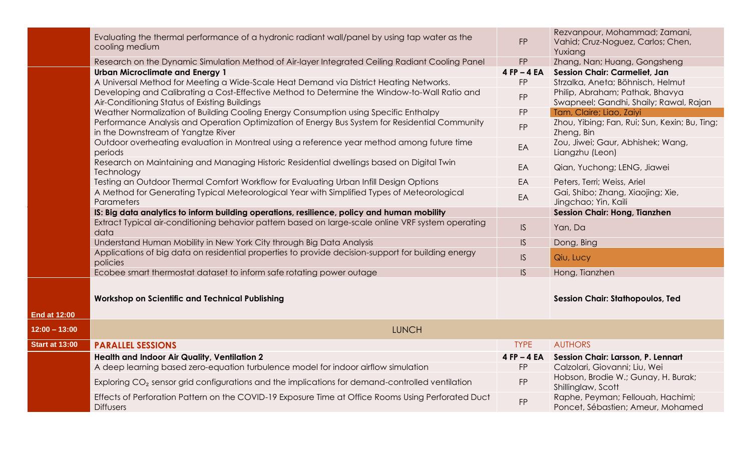|                       | Evaluating the thermal performance of a hydronic radiant wall/panel by using tap water as the<br>cooling medium                               | <b>FP</b>       | Rezvanpour, Mohammad; Zamani,<br>Vahid; Cruz-Noguez, Carlos; Chen,<br>Yuxiang |
|-----------------------|-----------------------------------------------------------------------------------------------------------------------------------------------|-----------------|-------------------------------------------------------------------------------|
|                       | Research on the Dynamic Simulation Method of Air-layer Integrated Ceiling Radiant Cooling Panel                                               | <b>FP</b>       | Zhang, Nan; Huang, Gongsheng                                                  |
|                       | <b>Urban Microclimate and Energy 1</b>                                                                                                        | $4$ FP $-$ 4 EA | <b>Session Chair: Carmeliet, Jan</b>                                          |
|                       | A Universal Method for Meeting a Wide-Scale Heat Demand via District Heating Networks.                                                        | FP              | Strzalka, Aneta; Böhnisch, Helmut                                             |
|                       | Developing and Calibrating a Cost-Effective Method to Determine the Window-to-Wall Ratio and<br>Air-Conditioning Status of Existing Buildings | FP              | Philip, Abraham; Pathak, Bhavya<br>Swapneel; Gandhi, Shaily; Rawal, Rajan     |
|                       | Weather Normalization of Building Cooling Energy Consumption using Specific Enthalpy                                                          | <b>FP</b>       | Tam, Claire; Liao, Zaiyi                                                      |
|                       | Performance Analysis and Operation Optimization of Energy Bus System for Residential Community<br>in the Downstream of Yangtze River          | <b>FP</b>       | Zhou, Yibing; Fan, Rui; Sun, Kexin; Bu, Ting;<br>Zheng, Bin                   |
|                       | Outdoor overheating evaluation in Montreal using a reference year method among future time<br>periods                                         | EA              | Zou, Jiwei; Gaur, Abhishek; Wang,<br>Liangzhu (Leon)                          |
|                       | Research on Maintaining and Managing Historic Residential dwellings based on Digital Twin<br>Technology                                       | EA              | Qian, Yuchong; LENG, Jiawei                                                   |
|                       | Testing an Outdoor Thermal Comfort Workflow for Evaluating Urban Infill Design Options                                                        | EA              | Peters, Terri; Weiss, Ariel                                                   |
|                       | A Method for Generating Typical Meteorological Year with Simplified Types of Meteorological<br>Parameters                                     | EA              | Gai, Shibo; Zhang, Xiaojing; Xie,<br>Jingchao; Yin, Kaili                     |
|                       | IS: Big data analytics to inform building operations, resilience, policy and human mobility                                                   |                 | <b>Session Chair: Hong, Tianzhen</b>                                          |
|                       | Extract Typical air-conditioning behavior pattern based on large-scale online VRF system operating<br>data                                    | IS              | Yan, Da                                                                       |
|                       | Understand Human Mobility in New York City through Big Data Analysis                                                                          | IS.             | Dong, Bing                                                                    |
|                       | Applications of big data on residential properties to provide decision-support for building energy<br>policies                                | IS              | Qiu, Lucy                                                                     |
|                       | Ecobee smart thermostat dataset to inform safe rotating power outage                                                                          | IS.             | Hong, Tianzhen                                                                |
| <b>End at 12:00</b>   | <b>Workshop on Scientific and Technical Publishing</b>                                                                                        |                 | <b>Session Chair: Stathopoulos, Ted</b>                                       |
|                       |                                                                                                                                               |                 |                                                                               |
| $12:00 - 13:00$       | <b>LUNCH</b>                                                                                                                                  |                 |                                                                               |
| <b>Start at 13:00</b> | <b>PARALLEL SESSIONS</b>                                                                                                                      | <b>TYPE</b>     | <b>AUTHORS</b>                                                                |
|                       | Health and Indoor Air Quality, Ventilation 2                                                                                                  | $4$ FP $-$ 4 EA | Session Chair: Larsson, P. Lennart                                            |
|                       | A deep learning based zero-equation turbulence model for indoor airflow simulation                                                            | <b>FP</b>       | Calzolari, Giovanni; Liu, Wei                                                 |
|                       | Exploring CO <sub>2</sub> sensor grid configurations and the implications for demand-controlled ventilation                                   | <b>FP</b>       | Hobson, Brodie W.; Gunay, H. Burak;<br>Shillinglaw, Scott                     |
|                       | Effects of Perforation Pattern on the COVID-19 Exposure Time at Office Rooms Using Perforated Duct<br><b>Diffusers</b>                        | <b>FP</b>       | Raphe, Peyman; Fellouah, Hachimi;<br>Poncet, Sébastien; Ameur, Mohamed        |
|                       |                                                                                                                                               |                 |                                                                               |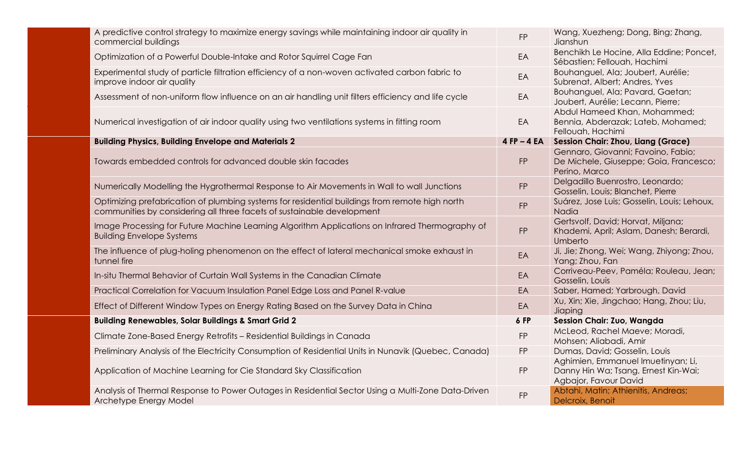| A predictive control strategy to maximize energy savings while maintaining indoor air quality in<br>commercial buildings                                                 | <b>FP</b>       | Wang, Xuezheng; Dong, Bing; Zhang,<br>Jianshun                                                      |
|--------------------------------------------------------------------------------------------------------------------------------------------------------------------------|-----------------|-----------------------------------------------------------------------------------------------------|
| Optimization of a Powerful Double-Intake and Rotor Squirrel Cage Fan                                                                                                     | EA              | Benchikh Le Hocine, Alla Eddine; Poncet,<br>Sébastien; Fellouah, Hachimi                            |
| Experimental study of particle filtration efficiency of a non-woven activated carbon fabric to<br>improve indoor air quality                                             | EA              | Bouhanguel, Ala; Joubert, Aurélie;<br>Subrenat, Albert; Andres, Yves                                |
| Assessment of non-uniform flow influence on an air handling unit filters efficiency and life cycle                                                                       | EA              | Bouhanguel, Ala; Pavard, Gaetan;<br>Joubert, Aurélie; Lecann, Pierre;                               |
| Numerical investigation of air indoor quality using two ventilations systems in fitting room                                                                             | EA              | Abdul Hameed Khan, Mohammed;<br>Bennia, Abderazak; Lateb, Mohamed;<br>Fellouah, Hachimi             |
| <b>Building Physics, Building Envelope and Materials 2</b>                                                                                                               | $4$ FP $-$ 4 EA | Session Chair: Zhou, Liang (Grace)                                                                  |
| Towards embedded controls for advanced double skin facades                                                                                                               | <b>FP</b>       | Gennaro, Giovanni; Favoino, Fabio;<br>De Michele, Giuseppe; Goia, Francesco;<br>Perino, Marco       |
| Numerically Modelling the Hygrothermal Response to Air Movements in Wall to wall Junctions                                                                               | <b>FP</b>       | Delgadillo Buenrostro, Leonardo;<br>Gosselin, Louis; Blanchet, Pierre                               |
| Optimizing prefabrication of plumbing systems for residential buildings from remote high north<br>communities by considering all three facets of sustainable development | <b>FP</b>       | Suárez, Jose Luis; Gosselin, Louis; Lehoux,<br>Nadia                                                |
| Image Processing for Future Machine Learning Algorithm Applications on Infrared Thermography of<br><b>Building Envelope Systems</b>                                      | <b>FP</b>       | Gertsvolf, David; Horvat, Miljana;<br>Khademi, April; Aslam, Danesh; Berardi,<br>Umberto            |
| The influence of plug-holing phenomenon on the effect of lateral mechanical smoke exhaust in<br>tunnel fire                                                              | EA              | Ji, Jie; Zhong, Wei; Wang, Zhiyong; Zhou,<br>Yang; Zhou, Fan                                        |
| In-situ Thermal Behavior of Curtain Wall Systems in the Canadian Climate                                                                                                 | EA              | Corriveau-Peev, Paméla; Rouleau, Jean;<br>Gosselin, Louis                                           |
| Practical Correlation for Vacuum Insulation Panel Edge Loss and Panel R-value                                                                                            | EA              | Saber, Hamed; Yarbrough, David                                                                      |
| Effect of Different Window Types on Energy Rating Based on the Survey Data in China                                                                                      | EA              | Xu, Xin; Xie, Jingchao; Hang, Zhou; Liu,<br>Jiaping                                                 |
| <b>Building Renewables, Solar Buildings &amp; Smart Grid 2</b>                                                                                                           | 6 FP            | <b>Session Chair: Zuo, Wangda</b>                                                                   |
| Climate Zone-Based Energy Retrofits - Residential Buildings in Canada                                                                                                    | <b>FP</b>       | McLeod, Rachel Maeve; Moradi,<br>Mohsen; Aliabadi, Amir                                             |
| Preliminary Analysis of the Electricity Consumption of Residential Units in Nunavik (Quebec, Canada)                                                                     | <b>FP</b>       | Dumas, David; Gosselin, Louis                                                                       |
| Application of Machine Learning for Cie Standard Sky Classification                                                                                                      | <b>FP</b>       | Aghimien, Emmanuel Imuetinyan; Li,<br>Danny Hin Wa; Tsang, Ernest Kin-Wai;<br>Agbajor, Favour David |
| Analysis of Thermal Response to Power Outages in Residential Sector Using a Multi-Zone Data-Driven<br>Archetype Energy Model                                             | FP              | Abtahi, Matin; Athienitis, Andreas;<br>Delcroix, Benoit                                             |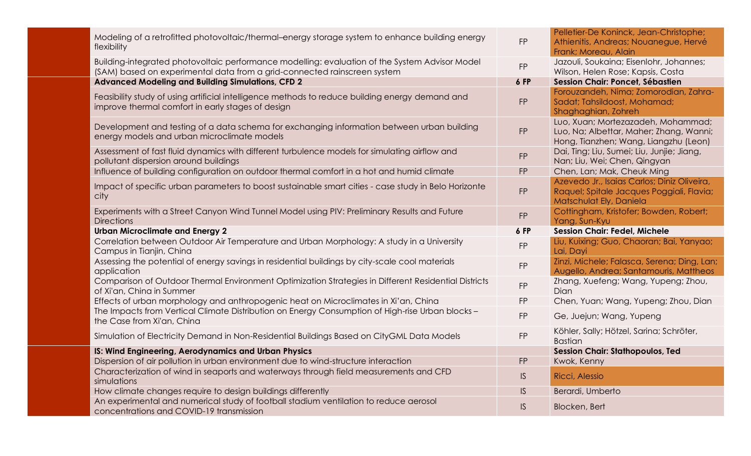| Modeling of a retrofitted photovoltaic/thermal-energy storage system to enhance building energy<br>flexibility                                                             | FP        | Pelletier-De Koninck, Jean-Christophe;<br>Athienitis, Andreas; Nouanegue, Hervé<br>Frank; Moreau, Alain                |
|----------------------------------------------------------------------------------------------------------------------------------------------------------------------------|-----------|------------------------------------------------------------------------------------------------------------------------|
| Building-integrated photovoltaic performance modelling: evaluation of the System Advisor Model<br>(SAM) based on experimental data from a grid-connected rainscreen system | <b>FP</b> | Jazouli, Soukaina; Eisenlohr, Johannes;<br>Wilson, Helen Rose; Kapsis, Costa                                           |
| <b>Advanced Modeling and Building Simulations, CFD 2</b>                                                                                                                   | 6 FP      | Session Chair: Poncet, Sébastien                                                                                       |
| Feasibility study of using artificial intelligence methods to reduce building energy demand and<br>improve thermal comfort in early stages of design                       | <b>FP</b> | Forouzandeh, Nima; Zomorodian, Zahra-<br>Sadat; Tahsildoost, Mohamad;<br>Shaghaghian, Zohreh                           |
| Development and testing of a data schema for exchanging information between urban building<br>energy models and urban microclimate models                                  | <b>FP</b> | Luo, Xuan; Mortezazadeh, Mohammad;<br>Luo, Na; Albettar, Maher; Zhang, Wanni;<br>Hong, Tianzhen; Wang, Liangzhu (Leon) |
| Assessment of fast fluid dynamics with different turbulence models for simulating airflow and<br>pollutant dispersion around buildings                                     | <b>FP</b> | Dai, Ting; Liu, Sumei; Liu, Junjie; Jiang,<br>Nan; Liu, Wei; Chen, Qingyan                                             |
| Influence of building configuration on outdoor thermal comfort in a hot and humid climate                                                                                  | <b>FP</b> | Chen, Lan; Mak, Cheuk Ming                                                                                             |
| Impact of specific urban parameters to boost sustainable smart cities - case study in Belo Horizonte<br>city                                                               | <b>FP</b> | Azevedo Jr., Isaias Carlos; Diniz Oliveira,<br>Raquel; Spitale Jacques Poggiali, Flavia;<br>Matschulat Ely, Daniela    |
| Experiments with a Street Canyon Wind Tunnel Model using PIV: Preliminary Results and Future<br><b>Directions</b>                                                          | <b>FP</b> | Cottingham, Kristofer; Bowden, Robert;<br>Yang, Sun-Kyu                                                                |
|                                                                                                                                                                            |           |                                                                                                                        |
| <b>Urban Microclimate and Energy 2</b>                                                                                                                                     | 6 FP      | <b>Session Chair: Fedel, Michele</b>                                                                                   |
| Correlation between Outdoor Air Temperature and Urban Morphology: A study in a University<br>Campus in Tianjin, China                                                      | <b>FP</b> | Liu, Kuixing; Guo, Chaoran; Bai, Yanyao;<br>Lai, Dayi                                                                  |
| Assessing the potential of energy savings in residential buildings by city-scale cool materials<br>application                                                             | <b>FP</b> | Zinzi, Michele; Falasca, Serena; Ding, Lan;<br>Augello, Andrea; Santamouris, Mattheos                                  |
| Comparison of Outdoor Thermal Environment Optimization Strategies in Different Residential Districts<br>of Xi'an, China in Summer                                          | <b>FP</b> | Zhang, Xuefeng; Wang, Yupeng; Zhou,<br><b>Dian</b>                                                                     |
| Effects of urban morphology and anthropogenic heat on Microclimates in Xi'an, China                                                                                        | <b>FP</b> | Chen, Yuan; Wang, Yupeng; Zhou, Dian                                                                                   |
| The Impacts from Vertical Climate Distribution on Energy Consumption of High-rise Urban blocks -<br>the Case from Xi'an, China                                             | <b>FP</b> | Ge, Juejun; Wang, Yupeng                                                                                               |
| Simulation of Electricity Demand in Non-Residential Buildings Based on CityGML Data Models                                                                                 | FP        | Köhler, Sally; Hötzel, Sarina; Schröter,<br><b>Bastian</b>                                                             |
| IS: Wind Engineering, Aerodynamics and Urban Physics                                                                                                                       |           | <b>Session Chair: Stathopoulos, Ted</b>                                                                                |
| Dispersion of air pollution in urban environment due to wind-structure interaction                                                                                         | <b>FP</b> | Kwok, Kenny                                                                                                            |
| Characterization of wind in seaports and waterways through field measurements and CFD<br>simulations                                                                       | IS        | Ricci, Alessio                                                                                                         |
| How climate changes require to design buildings differently<br>An experimental and numerical study of football stadium ventilation to reduce aerosol                       | IS.       | Berardi, Umberto                                                                                                       |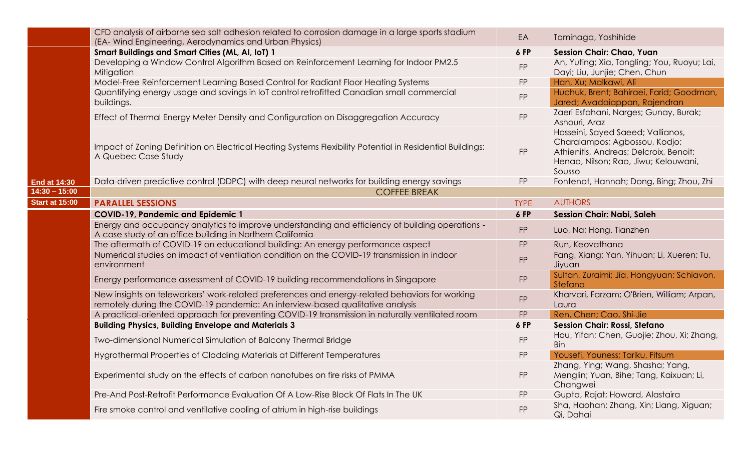|                       | CFD analysis of airborne sea salt adhesion related to corrosion damage in a large sports stadium<br>(EA- Wind Engineering, Aerodynamics and Urban Physics)                       | EA          | Tominaga, Yoshihide                                                                                                                                            |
|-----------------------|----------------------------------------------------------------------------------------------------------------------------------------------------------------------------------|-------------|----------------------------------------------------------------------------------------------------------------------------------------------------------------|
|                       | <b>Smart Buildings and Smart Cities (ML, AI, IoT) 1</b>                                                                                                                          | 6 FP        | <b>Session Chair: Chao, Yuan</b>                                                                                                                               |
|                       | Developing a Window Control Algorithm Based on Reinforcement Learning for Indoor PM2.5<br>Mitigation                                                                             | FP          | An, Yuting; Xia, Tongling; You, Ruoyu; Lai,<br>Dayi; Liu, Junjie; Chen, Chun                                                                                   |
|                       | Model-Free Reinforcement Learning Based Control for Radiant Floor Heating Systems                                                                                                | <b>FP</b>   | Han, Xu; Malkawi, Ali                                                                                                                                          |
|                       | Quantifying energy usage and savings in IoT control retrofitted Canadian small commercial<br>buildings.                                                                          | FP          | Huchuk, Brent; Bahiraei, Farid; Goodman,<br>Jared; Avadaiappan, Rajendran                                                                                      |
|                       | Effect of Thermal Energy Meter Density and Configuration on Disaggregation Accuracy                                                                                              | <b>FP</b>   | Zaeri Esfahani, Narges; Gunay, Burak;<br>Ashouri, Araz                                                                                                         |
|                       | Impact of Zoning Definition on Electrical Heating Systems Flexibility Potential in Residential Buildings:<br>A Quebec Case Study                                                 | <b>FP</b>   | Hosseini, Sayed Saeed; Vallianos,<br>Charalampos; Agbossou, Kodjo;<br>Athienitis, Andreas; Delcroix, Benoit;<br>Henao, Nilson; Rao, Jiwu; Kelouwani,<br>Sousso |
| <b>End at 14:30</b>   | Data-driven predictive control (DDPC) with deep neural networks for building energy savings                                                                                      | <b>FP</b>   | Fontenot, Hannah; Dong, Bing; Zhou, Zhi                                                                                                                        |
| $14:30 - 15:00$       | <b>COFFEE BREAK</b>                                                                                                                                                              |             |                                                                                                                                                                |
| <b>Start at 15:00</b> | <b>PARALLEL SESSIONS</b>                                                                                                                                                         | <b>TYPE</b> | <b>AUTHORS</b>                                                                                                                                                 |
|                       | <b>COVID-19, Pandemic and Epidemic 1</b>                                                                                                                                         | 6 FP        | <b>Session Chair: Nabi, Saleh</b>                                                                                                                              |
|                       | Energy and occupancy analytics to improve understanding and efficiency of building operations -<br>A case study of an office building in Northern California                     | <b>FP</b>   | Luo, Na; Hong, Tianzhen                                                                                                                                        |
|                       | The aftermath of COVID-19 on educational building: An energy performance aspect                                                                                                  | FP          | Run, Keovathana                                                                                                                                                |
|                       | Numerical studies on impact of ventilation condition on the COVID-19 transmission in indoor<br>environment                                                                       | FP          | Fang, Xiang; Yan, Yihuan; Li, Xueren; Tu,<br>Jiyuan                                                                                                            |
|                       | Energy performance assessment of COVID-19 building recommendations in Singapore                                                                                                  | <b>FP</b>   | Sultan, Zuraimi; Jia, Hongyuan; Schiavon,<br>Stefano                                                                                                           |
|                       | New insights on teleworkers' work-related preferences and energy-related behaviors for working<br>remotely during the COVID-19 pandemic: An interview-based qualitative analysis | FP          | Kharvari, Farzam; O'Brien, William; Arpan,<br>Laura                                                                                                            |
|                       | A practical-oriented approach for preventing COVID-19 transmission in naturally ventilated room                                                                                  | <b>FP</b>   | Ren, Chen; Cao, Shi-Jie                                                                                                                                        |
|                       | <b>Building Physics, Building Envelope and Materials 3</b>                                                                                                                       | 6 FP        | <b>Session Chair: Rossi, Stefano</b>                                                                                                                           |
|                       | Two-dimensional Numerical Simulation of Balcony Thermal Bridge                                                                                                                   | <b>FP</b>   | Hou, Yifan; Chen, Guojie; Zhou, Xi; Zhang,<br>Bin                                                                                                              |
|                       | Hygrothermal Properties of Cladding Materials at Different Temperatures                                                                                                          | FP          | Yousefi, Youness; Tariku, Fitsum                                                                                                                               |
|                       | Experimental study on the effects of carbon nanotubes on fire risks of PMMA                                                                                                      | FP          | Zhang, Ying; Wang, Shasha; Yang,<br>Menglin; Yuan, Bihe; Tang, Kaixuan; Li,<br>Changwei                                                                        |
|                       | Pre-And Post-Retrofit Performance Evaluation Of A Low-Rise Block Of Flats In The UK                                                                                              | FP          | Gupta, Rajat; Howard, Alastaira                                                                                                                                |
|                       | Fire smoke control and ventilative cooling of atrium in high-rise buildings                                                                                                      | <b>FP</b>   | Sha, Haohan; Zhang, Xin; Liang, Xiguan;<br>Qi, Dahai                                                                                                           |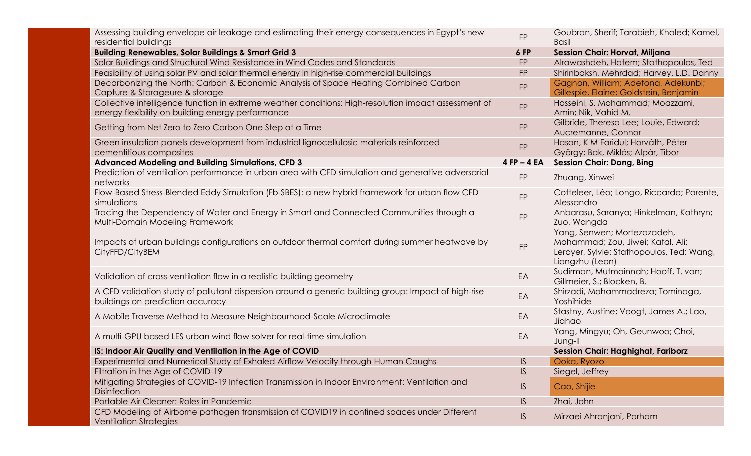| Assessing building envelope air leakage and estimating their energy consequences in Egypt's new<br>residential buildings                                  | <b>FP</b>       | Goubran, Sherif; Tarabieh, Khaled; Kamel,<br><b>Basil</b>                                                                        |
|-----------------------------------------------------------------------------------------------------------------------------------------------------------|-----------------|----------------------------------------------------------------------------------------------------------------------------------|
| <b>Building Renewables, Solar Buildings &amp; Smart Grid 3</b>                                                                                            | <b>6 FP</b>     | <b>Session Chair: Horvat, Miljana</b>                                                                                            |
| Solar Buildings and Structural Wind Resistance in Wind Codes and Standards                                                                                | <b>FP</b>       | Alrawashdeh, Hatem; Stathopoulos, Ted                                                                                            |
| Feasibility of using solar PV and solar thermal energy in high-rise commercial buildings                                                                  | <b>FP</b>       | Shirinbaksh, Mehrdad; Harvey, L.D. Danny                                                                                         |
| Decarbonizing the North: Carbon & Economic Analysis of Space Heating Combined Carbon<br>Capture & Storageure & storage                                    | <b>FP</b>       | Gagnon, William; Adetona, Adekunbi;<br>Gillespie, Elaine; Goldstein, Benjamin                                                    |
| Collective intelligence function in extreme weather conditions: High-resolution impact assessment of<br>energy flexibility on building energy performance | <b>FP</b>       | Hosseini, S. Mohammad; Moazzami,<br>Amin; Nik, Vahid M.                                                                          |
| Getting from Net Zero to Zero Carbon One Step at a Time                                                                                                   | <b>FP</b>       | Gilbride, Theresa Lee; Louie, Edward;<br>Aucremanne, Connor                                                                      |
| Green insulation panels development from industrial lignocellulosic materials reinforced<br>cementitious composites                                       | <b>FP</b>       | Hasan, K M Faridul; Horváth, Péter<br>György; Bak, Miklós; Alpár, Tibor                                                          |
| <b>Advanced Modeling and Building Simulations, CFD 3</b>                                                                                                  | $4$ FP $-$ 4 EA | <b>Session Chair: Dong, Bing</b>                                                                                                 |
| Prediction of ventilation performance in urban area with CFD simulation and generative adversarial<br>networks                                            | <b>FP</b>       | Zhuang, Xinwei                                                                                                                   |
| Flow-Based Stress-Blended Eddy Simulation (Fb-SBES): a new hybrid framework for urban flow CFD<br>simulations                                             | <b>FP</b>       | Cotteleer, Léo; Longo, Riccardo; Parente,<br>Alessandro                                                                          |
| Tracing the Dependency of Water and Energy in Smart and Connected Communities through a<br>Multi-Domain Modeling Framework                                | <b>FP</b>       | Anbarasu, Saranya; Hinkelman, Kathryn;<br>Zuo, Wangda                                                                            |
| Impacts of urban buildings configurations on outdoor thermal comfort during summer heatwave by<br>CityFFD/CityBEM                                         | <b>FP</b>       | Yang, Senwen; Mortezazadeh,<br>Mohammad; Zou, Jiwei; Katal, Ali;<br>Leroyer, Sylvie; Stathopoulos, Ted; Wang,<br>Liangzhu (Leon) |
| Validation of cross-ventilation flow in a realistic building geometry                                                                                     | EA              | Sudirman, Mutmainnah; Hooff, T. van;<br>Gillmeier, S.; Blocken, B.                                                               |
| A CFD validation study of pollutant dispersion around a generic building group: Impact of high-rise<br>buildings on prediction accuracy                   | EA              | Shirzadi, Mohammadreza; Tominaga,<br>Yoshihide                                                                                   |
| A Mobile Traverse Method to Measure Neighbourhood-Scale Microclimate                                                                                      | EA              | Stastny, Austine; Voogt, James A.; Lao,<br>Jiahao                                                                                |
| A multi-GPU based LES urban wind flow solver for real-time simulation                                                                                     | EA              | Yang, Mingyu; Oh, Geunwoo; Choi,<br>Jung-II                                                                                      |
| IS: Indoor Air Quality and Ventilation in the Age of COVID                                                                                                |                 | <b>Session Chair: Haghighat, Fariborz</b>                                                                                        |
| Experimental and Numerical Study of Exhaled Airflow Velocity through Human Coughs                                                                         | IS              | Ooka, Ryozo                                                                                                                      |
| Filtration in the Age of COVID-19                                                                                                                         | <b>IS</b>       | Siegel, Jeffrey                                                                                                                  |
| Mitigating Strategies of COVID-19 Infection Transmission in Indoor Environment: Ventilation and<br><b>Disinfection</b>                                    | IS              | Cao, Shijie                                                                                                                      |
| Portable Air Cleaner: Roles in Pandemic                                                                                                                   | IS              | Zhai, John                                                                                                                       |
| CFD Modeling of Airborne pathogen transmission of COVID19 in confined spaces under Different<br><b>Ventilation Strategies</b>                             | S               | Mirzaei Ahranjani, Parham                                                                                                        |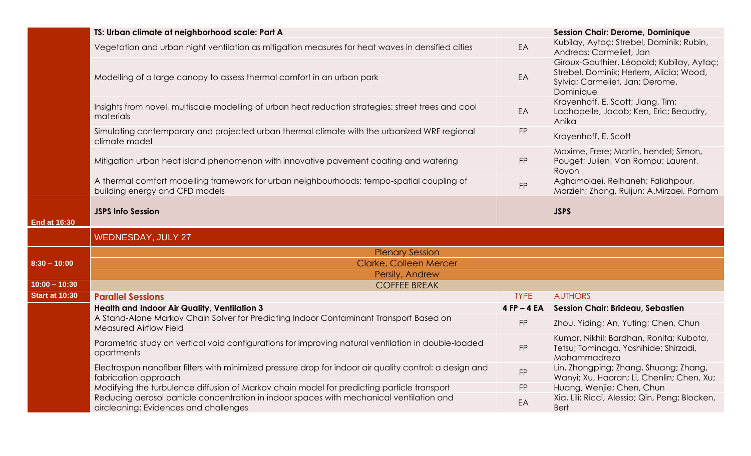|                       | TS: Urban climate at neighborhood scale: Part A                                                                                   |                 | <b>Session Chair: Derome, Dominique</b>                                                                                              |
|-----------------------|-----------------------------------------------------------------------------------------------------------------------------------|-----------------|--------------------------------------------------------------------------------------------------------------------------------------|
|                       | Vegetation and urban night ventilation as mitigation measures for heat waves in densified cities                                  | EA              | Kubilay, Aytaç; Strebel, Dominik; Rubin,<br>Andreas; Carmeliet, Jan                                                                  |
|                       | Modelling of a large canopy to assess thermal comfort in an urban park                                                            | EA              | Giroux-Gauthier, Léopold; Kubilay, Aytaç;<br>Strebel, Dominik; Herlem, Alicia; Wood,<br>Sylvia; Carmeliet, Jan; Derome,<br>Dominique |
|                       | Insights from novel, multiscale modelling of urban heat reduction strategies: street trees and cool<br>materials                  | EA              | Krayenhoff, E. Scott; Jiang, Tim;<br>Lachapelle, Jacob; Ken, Eric; Beaudry,<br>Anika                                                 |
|                       | Simulating contemporary and projected urban thermal climate with the urbanized WRF regional<br>climate model                      | <b>FP</b>       | Krayenhoff, E. Scott                                                                                                                 |
|                       | Mitigation urban heat island phenomenon with innovative pavement coating and watering                                             | <b>FP</b>       | Maxime, Frere; Martin, hendel; Simon,<br>Pouget; Julien, Van Rompu; Laurent,<br>Royon                                                |
|                       | A thermal comfort modelling framework for urban neighbourhoods: tempo-spatial coupling of<br>building energy and CFD models       | <b>FP</b>       | Aghamolaei, Reihaneh; Fallahpour,<br>Marzieh; Zhang, Ruijun; A.Mirzaei, Parham                                                       |
| <b>End at 16:30</b>   | <b>JSPS Info Session</b>                                                                                                          |                 | <b>JSPS</b>                                                                                                                          |
|                       | <b>WEDNESDAY, JULY 27</b>                                                                                                         |                 |                                                                                                                                      |
|                       | <b>Plenary Session</b>                                                                                                            |                 |                                                                                                                                      |
| $8:30 - 10:00$        | <b>Clarke, Colleen Mercer</b>                                                                                                     |                 |                                                                                                                                      |
|                       | Persily, Andrew                                                                                                                   |                 |                                                                                                                                      |
| $10:00 - 10:30$       | <b>COFFEE BREAK</b>                                                                                                               |                 |                                                                                                                                      |
| <b>Start at 10:30</b> | <b>Parallel Sessions</b>                                                                                                          | <b>TYPE</b>     | <b>AUTHORS</b>                                                                                                                       |
|                       | <b>Health and Indoor Air Quality, Ventilation 3</b>                                                                               | $4$ FP $-$ 4 EA | Session Chair: Brideau, Sebastien                                                                                                    |
|                       | A Stand-Alone Markov Chain Solver for Predicting Indoor Contaminant Transport Based on<br><b>Measured Airflow Field</b>           | <b>FP</b>       | Zhou, Yiding; An, Yuting; Chen, Chun                                                                                                 |
|                       | Parametric study on vertical void configurations for improving natural ventilation in double-loaded<br>apartments                 | FP              | Kumar, Nikhil; Bardhan, Ronita; Kubota,<br>Tetsu; Tominaga, Yoshihide; Shirzadi,<br>Mohammadreza                                     |
|                       | Electrospun nanofiber filters with minimized pressure drop for indoor air quality control: a design and<br>fabrication approach   | FP              | Lin, Zhongping; Zhang, Shuang; Zhang,<br>Wanyi; Xu, Haoran; Li, Chenlin; Chen, Xu;                                                   |
|                       | Modifying the turbulence diffusion of Markov chain model for predicting particle transport                                        | <b>FP</b>       | Huang, Wenjie; Chen, Chun                                                                                                            |
|                       | Reducing aerosol particle concentration in indoor spaces with mechanical ventilation and<br>aircleaning: Evidences and challenges | EA              | Xia, Lili; Ricci, Alessio; Qin, Peng; Blocken,<br><b>Bert</b>                                                                        |
|                       |                                                                                                                                   |                 |                                                                                                                                      |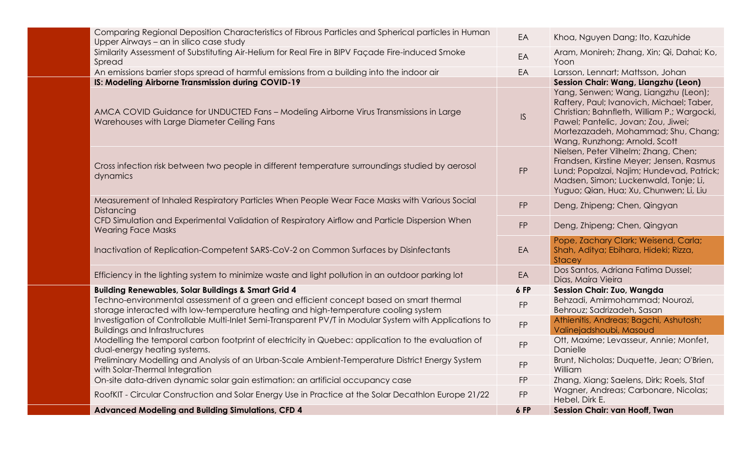| Comparing Regional Deposition Characteristics of Fibrous Particles and Spherical particles in Human<br>Upper Airways - an in silico case study                                 | EA        | Khoa, Nguyen Dang; Ito, Kazuhide                                                                                                                                                                                                                |
|--------------------------------------------------------------------------------------------------------------------------------------------------------------------------------|-----------|-------------------------------------------------------------------------------------------------------------------------------------------------------------------------------------------------------------------------------------------------|
| Similarity Assessment of Substituting Air-Helium for Real Fire in BIPV Façade Fire-induced Smoke<br>Spread                                                                     | EA        | Aram, Monireh; Zhang, Xin; Qi, Dahai; Ko,<br>Yoon                                                                                                                                                                                               |
| An emissions barrier stops spread of harmful emissions from a building into the indoor air                                                                                     | EA        | Larsson, Lennart; Mattsson, Johan                                                                                                                                                                                                               |
| IS: Modeling Airborne Transmission during COVID-19                                                                                                                             |           | Session Chair: Wang, Liangzhu (Leon)                                                                                                                                                                                                            |
| AMCA COVID Guidance for UNDUCTED Fans - Modeling Airborne Virus Transmissions in Large<br>Warehouses with Large Diameter Ceiling Fans                                          | IS        | Yang, Senwen; Wang, Liangzhu (Leon);<br>Raftery, Paul; Ivanovich, Michael; Taber,<br>Christian; Bahnfleth, William P.; Wargocki,<br>Pawel; Pantelic, Jovan; Zou, Jiwei;<br>Mortezazadeh, Mohammad; Shu, Chang;<br>Wang, Runzhong; Arnold, Scott |
| Cross infection risk between two people in different temperature surroundings studied by aerosol<br>dynamics                                                                   | <b>FP</b> | Nielsen, Peter Vilhelm; Zhang, Chen;<br>Frandsen, Kirstine Meyer; Jensen, Rasmus<br>Lund; Popalzai, Najim; Hundevad, Patrick;<br>Madsen, Simon; Luckenwald, Tonje; Li,<br>Yuguo; Qian, Hua; Xu, Chunwen; Li, Liu                                |
| Measurement of Inhaled Respiratory Particles When People Wear Face Masks with Various Social<br>Distancing                                                                     | FP        | Deng, Zhipeng; Chen, Qingyan                                                                                                                                                                                                                    |
| CFD Simulation and Experimental Validation of Respiratory Airflow and Particle Dispersion When<br><b>Wearing Face Masks</b>                                                    | <b>FP</b> | Deng, Zhipeng; Chen, Qingyan                                                                                                                                                                                                                    |
| Inactivation of Replication-Competent SARS-CoV-2 on Common Surfaces by Disinfectants                                                                                           | EA        | Pope, Zachary Clark; Weisend, Carla;<br>Shah, Aditya; Ebihara, Hideki; Rizza,<br>Stacey                                                                                                                                                         |
| Efficiency in the lighting system to minimize waste and light pollution in an outdoor parking lot                                                                              | EA        | Dos Santos, Adriana Fatima Dussel;<br>Dias, Maíra Vieira                                                                                                                                                                                        |
| <b>Building Renewables, Solar Buildings &amp; Smart Grid 4</b>                                                                                                                 | 6 FP      | Session Chair: Zuo, Wangda                                                                                                                                                                                                                      |
| Techno-environmental assessment of a green and efficient concept based on smart thermal<br>storage interacted with low-temperature heating and high-temperature cooling system | <b>FP</b> | Behzadi, Amirmohammad; Nourozi,<br>Behrouz; Sadrizadeh, Sasan                                                                                                                                                                                   |
| Investigation of Controllable Multi-Inlet Semi-Transparent PV/T in Modular System with Applications to<br><b>Buildings and Infrastructures</b>                                 | FP        | Athienitis, Andreas; Bagchi, Ashutosh;<br>Valinejadshoubi, Masoud                                                                                                                                                                               |
| Modelling the temporal carbon footprint of electricity in Quebec: application to the evaluation of<br>dual-energy heating systems.                                             | <b>FP</b> | Ott, Maxime; Levasseur, Annie; Monfet,<br>Danielle                                                                                                                                                                                              |
| Preliminary Modelling and Analysis of an Urban-Scale Ambient-Temperature District Energy System<br>with Solar-Thermal Integration                                              | <b>FP</b> | Brunt, Nicholas; Duquette, Jean; O'Brien,<br>William                                                                                                                                                                                            |
| On-site data-driven dynamic solar gain estimation: an artificial occupancy case                                                                                                | <b>FP</b> | Zhang, Xiang; Saelens, Dirk; Roels, Staf                                                                                                                                                                                                        |
| RoofKIT - Circular Construction and Solar Energy Use in Practice at the Solar Decathlon Europe 21/22                                                                           | <b>FP</b> | Wagner, Andreas; Carbonare, Nicolas;<br>Hebel, Dirk E.                                                                                                                                                                                          |
| <b>Advanced Modeling and Building Simulations, CFD 4</b>                                                                                                                       | 6 FP      | <b>Session Chair: van Hooff, Twan</b>                                                                                                                                                                                                           |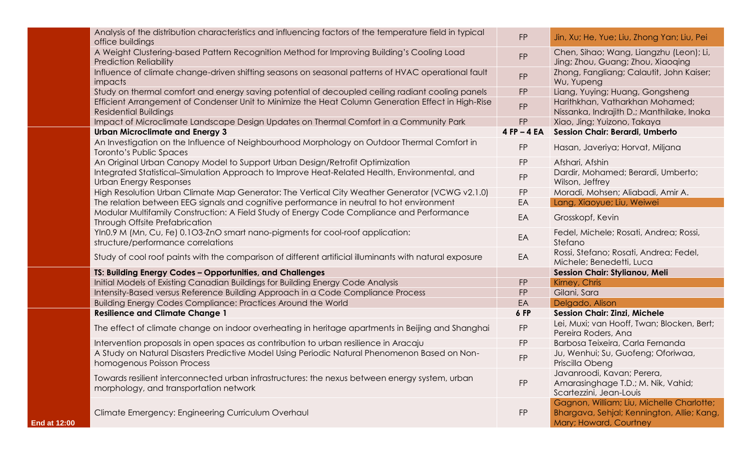|                     | Analysis of the distribution characteristics and influencing factors of the temperature field in typical<br>office buildings             | <b>FP</b>     | Jin, Xu; He, Yue; Liu, Zhong Yan; Liu, Pei                                                                        |
|---------------------|------------------------------------------------------------------------------------------------------------------------------------------|---------------|-------------------------------------------------------------------------------------------------------------------|
|                     | A Weight Clustering-based Pattern Recognition Method for Improving Building's Cooling Load<br><b>Prediction Reliability</b>              | <b>FP</b>     | Chen, Sihao; Wang, Liangzhu (Leon); Li,<br>Jing; Zhou, Guang; Zhou, Xiaoqing                                      |
|                     | Influence of climate change-driven shifting seasons on seasonal patterns of HVAC operational fault<br><i>impacts</i>                     | <b>FP</b>     | Zhong, Fangliang; Calautit, John Kaiser;<br>Wu, Yupeng                                                            |
|                     | Study on thermal comfort and energy saving potential of decoupled ceiling radiant cooling panels                                         | <b>FP</b>     | Liang, Yuying; Huang, Gongsheng                                                                                   |
|                     | Efficient Arrangement of Condenser Unit to Minimize the Heat Column Generation Effect in High-Rise<br><b>Residential Buildings</b>       | <b>FP</b>     | Harithkhan, Vatharkhan Mohamed;<br>Nissanka, Indrajith D.; Manthilake, Inoka                                      |
|                     | Impact of Microclimate Landscape Design Updates on Thermal Comfort in a Community Park                                                   | <b>FP</b>     | Xiao, Jing; Yuizono, Takaya                                                                                       |
|                     | <b>Urban Microclimate and Energy 3</b>                                                                                                   | $4 FP - 4 EA$ | Session Chair: Berardi, Umberto                                                                                   |
|                     | An Investigation on the Influence of Neighbourhood Morphology on Outdoor Thermal Comfort in<br>Toronto's Public Spaces                   | <b>FP</b>     | Hasan, Javeriya; Horvat, Miljana                                                                                  |
|                     | An Original Urban Canopy Model to Support Urban Design/Retrofit Optimization                                                             | <b>FP</b>     | Afshari, Afshin                                                                                                   |
|                     | Integrated Statistical-Simulation Approach to Improve Heat-Related Health, Environmental, and<br>Urban Energy Responses                  | FP            | Dardir, Mohamed; Berardi, Umberto;<br>Wilson, Jeffrey                                                             |
|                     | High Resolution Urban Climate Map Generator: The Vertical City Weather Generator (VCWG v2.1.0)                                           | ${\sf FP}$    | Moradi, Mohsen; Aliabadi, Amir A.                                                                                 |
|                     | The relation between EEG signals and cognitive performance in neutral to hot environment                                                 | EA            | Lang, Xiaoyue; Liu, Weiwei                                                                                        |
|                     | Modular Multifamily Construction: A Field Study of Energy Code Compliance and Performance<br>Through Offsite Prefabrication              | EA            | Grosskopf, Kevin                                                                                                  |
|                     | YIn0.9 M (Mn, Cu, Fe) 0.103-ZnO smart nano-pigments for cool-roof application:<br>structure/performance correlations                     | EA            | Fedel, Michele; Rosati, Andrea; Rossi,<br>Stefano                                                                 |
|                     | Study of cool roof paints with the comparison of different artificial illuminants with natural exposure                                  | EA            | Rossi, Stefano; Rosati, Andrea; Fedel,<br>Michele; Benedetti, Luca                                                |
|                     | TS: Building Energy Codes - Opportunities, and Challenges                                                                                |               | <b>Session Chair: Stylianou, Meli</b>                                                                             |
|                     | Initial Models of Existing Canadian Buildings for Building Energy Code Analysis                                                          | <b>FP</b>     | Kirney, Chris                                                                                                     |
|                     | Intensity-Based versus Reference Building Approach in a Code Compliance Process                                                          | <b>FP</b>     | Gilani, Sara                                                                                                      |
|                     | Building Energy Codes Compliance: Practices Around the World                                                                             | EA            | Delgado, Alison                                                                                                   |
|                     | <b>Resilience and Climate Change 1</b>                                                                                                   | 6 FP          | <b>Session Chair: Zinzi, Michele</b>                                                                              |
|                     | The effect of climate change on indoor overheating in heritage apartments in Beijing and Shanghai                                        | ${\sf FP}$    | Lei, Muxi; van Hooff, Twan; Blocken, Bert;<br>Pereira Roders, Ana                                                 |
|                     | Intervention proposals in open spaces as contribution to urban resilience in Aracaju                                                     | <b>FP</b>     | Barbosa Teixeira, Carla Fernanda                                                                                  |
|                     | A Study on Natural Disasters Predictive Model Using Periodic Natural Phenomenon Based on Non-<br>homogenous Poisson Process              | <b>FP</b>     | Ju, Wenhui; Su, Guofeng; Oforiwaa,<br>Priscilla Obeng                                                             |
|                     | Towards resilient interconnected urban infrastructures: the nexus between energy system, urban<br>morphology, and transportation network | <b>FP</b>     | Javanroodi, Kavan; Perera,<br>Amarasinghage T.D.; M. Nik, Vahid;<br>Scartezzini, Jean-Louis                       |
| <b>End at 12:00</b> | Climate Emergency: Engineering Curriculum Overhaul                                                                                       | <b>FP</b>     | Gagnon, William; Liu, Michelle Charlotte;<br>Bhargava, Sehjal; Kennington, Allie; Kang,<br>Mary; Howard, Courtney |
|                     |                                                                                                                                          |               |                                                                                                                   |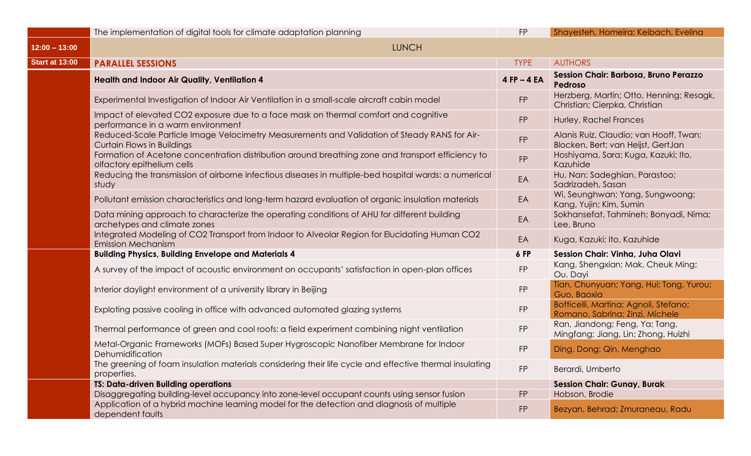|                       | The implementation of digital tools for climate adaptation planning                                                               | <b>FP</b>     | Shayesteh, Homeira; Keibach, Evelina                                         |
|-----------------------|-----------------------------------------------------------------------------------------------------------------------------------|---------------|------------------------------------------------------------------------------|
| $12:00 - 13:00$       | <b>LUNCH</b>                                                                                                                      |               |                                                                              |
| <b>Start at 13:00</b> | <b>PARALLEL SESSIONS</b>                                                                                                          | <b>TYPE</b>   | <b>AUTHORS</b>                                                               |
|                       | <b>Health and Indoor Air Quality, Ventilation 4</b>                                                                               | $4 FP - 4 EA$ | Session Chair: Barbosa, Bruno Perazzo<br>Pedroso                             |
|                       | Experimental Investigation of Indoor Air Ventilation in a small-scale aircraft cabin model                                        | <b>FP</b>     | Herzberg, Martin; Otto, Henning; Resagk,<br>Christian; Cierpka, Christian    |
|                       | Impact of elevated CO2 exposure due to a face mask on thermal comfort and cognitive<br>performance in a warm environment          | <b>FP</b>     | Hurley, Rachel Frances                                                       |
|                       | Reduced-Scale Particle Image Velocimetry Measurements and Validation of Steady RANS for Air-<br><b>Curtain Flows in Buildings</b> | <b>FP</b>     | Alanis Ruiz, Claudio; van Hooff, Twan;<br>Blocken, Bert; van Heijst, GertJan |
|                       | Formation of Acetone concentration distribution around breathing zone and transport efficiency to<br>olfactory epithelium cells   | FP            | Hoshiyama, Sara; Kuga, Kazuki; Ito,<br>Kazuhide                              |
|                       | Reducing the transmission of airborne infectious diseases in multiple-bed hospital wards: a numerical<br>study                    | EA            | Hu, Nan; Sadeghian, Parastoo;<br>Sadrizadeh, Sasan                           |
|                       | Pollutant emission characteristics and long-term hazard evaluation of organic insulation materials                                | EA            | Wi, Seunghwan; Yang, Sungwoong;<br>Kang, Yujin; Kim, Sumin                   |
|                       | Data mining approach to characterize the operating conditions of AHU for different building<br>archetypes and climate zones       | EA            | Sokhansefat, Tahmineh; Bonyadi, Nima;<br>Lee, Bruno                          |
|                       | Integrated Modeling of CO2 Transport from Indoor to Alveolar Region for Elucidating Human CO2<br><b>Emission Mechanism</b>        | EA            | Kuga, Kazuki; Ito, Kazuhide                                                  |
|                       | <b>Building Physics, Building Envelope and Materials 4</b>                                                                        | 6 FP          | Session Chair: Vinha, Juha Olavi                                             |
|                       | A survey of the impact of acoustic environment on occupants' satisfaction in open-plan offices                                    | <b>FP</b>     | Kang, Shengxian; Mak, Cheuk Ming;<br>Ou, Dayi                                |
|                       | Interior daylight environment of a university library in Beijing                                                                  | <b>FP</b>     | Tian, Chunyuan; Yang, Hui; Tong, Yurou;<br>Guo, Baoxia                       |
|                       | Exploting passive cooling in office with advanced automated glazing systems                                                       | <b>FP</b>     | Botticelli, Martina; Agnoli, Stefano;<br>Romano, Sabrina; Zinzi, Michele     |
|                       | Thermal performance of green and cool roofs: a field experiment combining night ventilation                                       | <b>FP</b>     | Ran, Jiandong; Feng, Ya; Tang,<br>Mingfang; Jiang, Lin; Zhong, Huizhi        |
|                       | Metal-Organic Frameworks (MOFs) Based Super Hygroscopic Nanofiber Membrane for Indoor<br>Dehumidification                         | <b>FP</b>     | Ding, Dong; Qin, Menghao                                                     |
|                       | The greening of foam insulation materials considering their life cycle and effective thermal insulating<br>properties.            | <b>FP</b>     | Berardi, Umberto                                                             |
|                       | <b>TS: Data-driven Building operations</b>                                                                                        |               | <b>Session Chair: Gunay, Burak</b>                                           |
|                       | Disaggregating building-level occupancy into zone-level occupant counts using sensor fusion                                       | <b>FP</b>     | Hobson, Brodie                                                               |
|                       | Application of a hybrid machine learning model for the detection and diagnosis of multiple<br>dependent faults                    | FP            | Bezyan, Behrad; Zmuraneau, Radu                                              |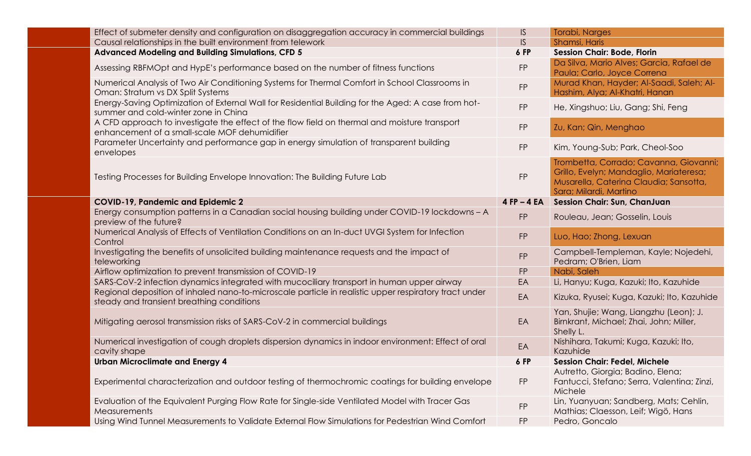| Effect of submeter density and configuration on disaggregation accuracy in commercial buildings                                                                                                                     | IS              | Torabi, Narges                                                                                                                                        |
|---------------------------------------------------------------------------------------------------------------------------------------------------------------------------------------------------------------------|-----------------|-------------------------------------------------------------------------------------------------------------------------------------------------------|
| Causal relationships in the built environment from telework                                                                                                                                                         | IS              | Shamsi, Haris                                                                                                                                         |
| <b>Advanced Modeling and Building Simulations, CFD 5</b>                                                                                                                                                            | 6 FP            | <b>Session Chair: Bode, Florin</b>                                                                                                                    |
| Assessing RBFMOpt and HypE's performance based on the number of fitness functions                                                                                                                                   | <b>FP</b>       | Da Silva, Mario Alves; Garcia, Rafael de<br>Paula; Carlo, Joyce Correna                                                                               |
| Numerical Analysis of Two Air Conditioning Systems for Thermal Comfort in School Classrooms in<br>Oman: Stratum vs DX Split Systems                                                                                 | <b>FP</b>       | Murad Khan, Hayder; Al-Saadi, Saleh; Al-<br>Hashim, Alya; Al-Khatri, Hanan                                                                            |
| Energy-Saving Optimization of External Wall for Residential Building for the Aged: A case from hot-<br>summer and cold-winter zone in China                                                                         | FP              | He, Xingshuo; Liu, Gang; Shi, Feng                                                                                                                    |
| A CFD approach to investigate the effect of the flow field on thermal and moisture transport<br>enhancement of a small-scale MOF dehumidifier                                                                       | FP              | Zu, Kan; Qin, Menghao                                                                                                                                 |
| Parameter Uncertainty and performance gap in energy simulation of transparent building<br>envelopes                                                                                                                 | FP              | Kim, Young-Sub; Park, Cheol-Soo                                                                                                                       |
| Testing Processes for Building Envelope Innovation: The Building Future Lab                                                                                                                                         | <b>FP</b>       | Trombetta, Corrado; Cavanna, Giovanni;<br>Grillo, Evelyn; Mandaglio, Mariateresa;<br>Musarella, Caterina Claudia; Sansotta,<br>Sara; Milardi, Martino |
| <b>COVID-19, Pandemic and Epidemic 2</b>                                                                                                                                                                            | $4$ FP $-$ 4 EA | <b>Session Chair: Sun, ChanJuan</b>                                                                                                                   |
| Energy consumption patterns in a Canadian social housing building under COVID-19 lockdowns - A<br>preview of the future?                                                                                            | <b>FP</b>       | Rouleau, Jean; Gosselin, Louis                                                                                                                        |
| Numerical Analysis of Effects of Ventilation Conditions on an In-duct UVGI System for Infection                                                                                                                     | <b>FP</b>       | Luo, Hao; Zhong, Lexuan                                                                                                                               |
| Control                                                                                                                                                                                                             |                 |                                                                                                                                                       |
| Investigating the benefits of unsolicited building maintenance requests and the impact of<br>teleworking                                                                                                            | <b>FP</b>       | Campbell-Templeman, Kayle; Nojedehi,<br>Pedram; O'Brien, Liam                                                                                         |
| Airflow optimization to prevent transmission of COVID-19                                                                                                                                                            | <b>FP</b>       | Nabi, Saleh                                                                                                                                           |
| SARS-CoV-2 infection dynamics integrated with mucociliary transport in human upper airway                                                                                                                           | EA              | Li, Hanyu; Kuga, Kazuki; Ito, Kazuhide                                                                                                                |
| Regional deposition of inhaled nano-to-microscale particle in realistic upper respiratory tract under<br>steady and transient breathing conditions                                                                  | EA              | Kizuka, Ryusei; Kuga, Kazuki; Ito, Kazuhide                                                                                                           |
| Mitigating aerosol transmission risks of SARS-CoV-2 in commercial buildings                                                                                                                                         | EA              | Yan, Shujie; Wang, Liangzhu (Leon); J.<br>Birnkrant, Michael; Zhai, John; Miller,<br>Shelly L.                                                        |
| Numerical investigation of cough droplets dispersion dynamics in indoor environment: Effect of oral<br>cavity shape                                                                                                 | EA              | Nishihara, Takumi; Kuga, Kazuki; Ito,<br>Kazuhide                                                                                                     |
| <b>Urban Microclimate and Energy 4</b>                                                                                                                                                                              | 6 FP            | <b>Session Chair: Fedel, Michele</b>                                                                                                                  |
| Experimental characterization and outdoor testing of thermochromic coatings for building envelope                                                                                                                   | <b>FP</b>       | Autretto, Giorgia; Badino, Elena;<br>Fantucci, Stefano; Serra, Valentina; Zinzi,<br>Michele                                                           |
| Evaluation of the Equivalent Purging Flow Rate for Single-side Ventilated Model with Tracer Gas<br>Measurements<br>Using Wind Tunnel Measurements to Validate External Flow Simulations for Pedestrian Wind Comfort | FP              | Lin, Yuanyuan; Sandberg, Mats; Cehlin,<br>Mathias; Claesson, Leif; Wigö, Hans                                                                         |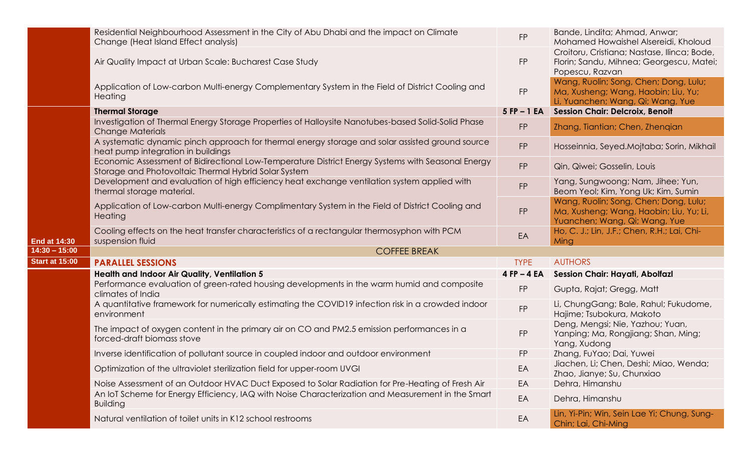|                       | Residential Neighbourhood Assessment in the City of Abu Dhabi and the impact on Climate<br>Change (Heat Island Effect analysis)                           | <b>FP</b>       | Bande, Lindita; Ahmad, Anwar;<br>Mohamed Howaishel Alsereidi, Kholoud                                             |
|-----------------------|-----------------------------------------------------------------------------------------------------------------------------------------------------------|-----------------|-------------------------------------------------------------------------------------------------------------------|
|                       | Air Quality Impact at Urban Scale: Bucharest Case Study                                                                                                   | <b>FP</b>       | Croitoru, Cristiana; Nastase, Ilinca; Bode,<br>Florin; Sandu, Mihnea; Georgescu, Matei;<br>Popescu, Razvan        |
|                       | Application of Low-carbon Multi-energy Complementary System in the Field of District Cooling and<br>Heating                                               | <b>FP</b>       | Wang, Ruolin; Song, Chen; Dong, Lulu;<br>Ma, Xusheng; Wang, Haobin; Liu, Yu;<br>Li, Yuanchen; Wang, Qi; Wang, Yue |
|                       | <b>Thermal Storage</b>                                                                                                                                    | $5$ FP $-1$ EA  | <b>Session Chair: Delcroix, Benoit</b>                                                                            |
|                       | Investigation of Thermal Energy Storage Properties of Halloysite Nanotubes-based Solid-Solid Phase<br><b>Change Materials</b>                             | <b>FP</b>       | Zhang, Tiantian; Chen, Zhengian                                                                                   |
|                       | A systematic dynamic pinch approach for thermal energy storage and solar assisted ground source<br>heat pump integration in buildings                     | <b>FP</b>       | Hosseinnia, Seyed.Mojtaba; Sorin, Mikhail                                                                         |
|                       | Economic Assessment of Bidirectional Low-Temperature District Energy Systems with Seasonal Energy<br>Storage and Photovoltaic Thermal Hybrid Solar System | <b>FP</b>       | Qin, Qiwei; Gosselin, Louis                                                                                       |
|                       | Development and evaluation of high efficiency heat exchange ventilation system applied with<br>thermal storage material.                                  | <b>FP</b>       | Yang, Sungwoong; Nam, Jihee; Yun,<br>Beom Yeol; Kim, Yong Uk; Kim, Sumin                                          |
|                       | Application of Low-carbon Multi-energy Complimentary System in the Field of District Cooling and<br>Heating                                               | <b>FP</b>       | Wang, Ruolin; Song, Chen; Dong, Lulu;<br>Ma, Xusheng; Wang, Haobin; Liu, Yu; Li,<br>Yuanchen; Wang, Qi; Wang, Yue |
| <b>End at 14:30</b>   | Cooling effects on the heat transfer characteristics of a rectangular thermosyphon with PCM<br>suspension fluid                                           | EA              | Ho, C. J.; Lin, J.F.; Chen, R.H.; Lai, Chi-<br>Ming                                                               |
| $14:30 - 15:00$       | <b>COFFEE BREAK</b>                                                                                                                                       |                 |                                                                                                                   |
| <b>Start at 15:00</b> | <b>PARALLEL SESSIONS</b>                                                                                                                                  | <b>TYPE</b>     | <b>AUTHORS</b>                                                                                                    |
|                       | <b>Health and Indoor Air Quality, Ventilation 5</b>                                                                                                       | $4$ FP $-$ 4 EA | <b>Session Chair: Hayati, Abolfazl</b>                                                                            |
|                       | Performance evaluation of green-rated housing developments in the warm humid and composite<br>climates of India                                           | <b>FP</b>       | Gupta, Rajat; Gregg, Matt                                                                                         |
|                       | A quantitative framework for numerically estimating the COVID19 infection risk in a crowded indoor<br>environment                                         | <b>FP</b>       | Li, ChungGang; Bale, Rahul; Fukudome,<br>Hajime; Tsubokura, Makoto                                                |
|                       | The impact of oxygen content in the primary air on CO and PM2.5 emission performances in a<br>forced-draft biomass stove                                  | <b>FP</b>       | Deng, Mengsi; Nie, Yazhou; Yuan,<br>Yanping; Ma, Rongjiang; Shan, Ming;<br>Yang, Xudong                           |
|                       | Inverse identification of pollutant source in coupled indoor and outdoor environment                                                                      | <b>FP</b>       | Zhang, FuYao; Dai, Yuwei                                                                                          |
|                       | Optimization of the ultraviolet sterilization field for upper-room UVGI                                                                                   | EA              | Jiachen, Li; Chen, Deshi; Miao, Wenda;<br>Zhao, Jianye; Su, Chunxiao                                              |
|                       | Noise Assessment of an Outdoor HVAC Duct Exposed to Solar Radiation for Pre-Heating of Fresh Air                                                          | EA              | Dehra, Himanshu                                                                                                   |
|                       | An IoT Scheme for Energy Efficiency, IAQ with Noise Characterization and Measurement in the Smart<br><b>Building</b>                                      | EA              | Dehra, Himanshu                                                                                                   |
|                       | Natural ventilation of toilet units in K12 school restrooms                                                                                               | EA              | Lin, Yi-Pin; Win, Sein Lae Yi; Chung, Sung-<br>Chin; Lai, Chi-Ming                                                |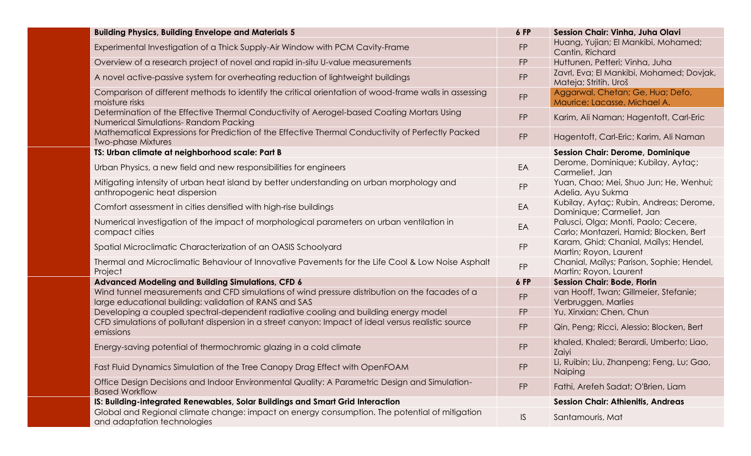| <b>Building Physics, Building Envelope and Materials 5</b>                                                                                               | 6 FP          | Session Chair: Vinha, Juha Olavi                                               |
|----------------------------------------------------------------------------------------------------------------------------------------------------------|---------------|--------------------------------------------------------------------------------|
| Experimental Investigation of a Thick Supply-Air Window with PCM Cavity-Frame                                                                            | <b>FP</b>     | Huang, Yujian; El Mankibi, Mohamed;<br>Cantin, Richard                         |
| Overview of a research project of novel and rapid in-situ U-value measurements                                                                           | <b>FP</b>     | Huttunen, Petteri; Vinha, Juha                                                 |
| A novel active-passive system for overheating reduction of lightweight buildings                                                                         | <b>FP</b>     | Zavrl, Eva; El Mankibi, Mohamed; Dovjak,<br>Mateja; Stritih, Uroš              |
| Comparison of different methods to identify the critical orientation of wood-frame walls in assessing<br>moisture risks                                  | FP            | Aggarwal, Chetan; Ge, Hua; Defo,<br>Maurice; Lacasse, Michael A.               |
| Determination of the Effective Thermal Conductivity of Aerogel-based Coating Mortars Using<br>Numerical Simulations-Random Packing                       | <b>FP</b>     | Karim, Ali Naman; Hagentoft, Carl-Eric                                         |
| Mathematical Expressions for Prediction of the Effective Thermal Conductivity of Perfectly Packed<br><b>Two-phase Mixtures</b>                           | <b>FP</b>     | Hagentoft, Carl-Eric; Karim, Ali Naman                                         |
| TS: Urban climate at neighborhood scale: Part B                                                                                                          |               | <b>Session Chair: Derome, Dominique</b>                                        |
| Urban Physics, a new field and new responsibilities for engineers                                                                                        | EA            | Derome, Dominique; Kubilay, Aytaç;<br>Carmeliet, Jan                           |
| Mitigating intensity of urban heat island by better understanding on urban morphology and<br>anthropogenic heat dispersion                               | <b>FP</b>     | Yuan, Chao; Mei, Shuo Jun; He, Wenhui;<br>Adelia, Ayu Sukma                    |
| Comfort assessment in cities densified with high-rise buildings                                                                                          | EA            | Kubilay, Aytaç; Rubin, Andreas; Derome,<br>Dominique; Carmeliet, Jan           |
| Numerical investigation of the impact of morphological parameters on urban ventilation in<br>compact cities                                              | EA            | Palusci, Olga; Monti, Paolo; Cecere,<br>Carlo; Montazeri, Hamid; Blocken, Bert |
| Spatial Microclimatic Characterization of an OASIS Schoolyard                                                                                            | <b>FP</b>     | Karam, Ghid; Chanial, Mailys; Hendel,<br>Martin; Royon, Laurent                |
| Thermal and Microclimatic Behaviour of Innovative Pavements for the Life Cool & Low Noise Asphalt<br>Project                                             | <b>FP</b>     | Chanial, Mailys; Parison, Sophie; Hendel,<br>Martin; Royon, Laurent            |
| <b>Advanced Modeling and Building Simulations, CFD 6</b>                                                                                                 | 6 FP          | <b>Session Chair: Bode, Florin</b>                                             |
| Wind tunnel measurements and CFD simulations of wind pressure distribution on the facades of a<br>large educational building: validation of RANS and SAS | <b>FP</b>     | van Hooff, Twan; Gillmeier, Stefanie;<br>Verbruggen, Marlies                   |
| Developing a coupled spectral-dependent radiative cooling and building energy model                                                                      | <b>FP</b>     | Yu, Xinxian; Chen, Chun                                                        |
| CFD simulations of pollutant dispersion in a street canyon: Impact of ideal versus realistic source<br>emissions                                         | <b>FP</b>     | Qin, Peng; Ricci, Alessio; Blocken, Bert                                       |
| Energy-saving potential of thermochromic glazing in a cold climate                                                                                       | <b>FP</b>     | khaled, Khaled; Berardi, Umberto; Liao,<br>Zaiyi                               |
| Fast Fluid Dynamics Simulation of the Tree Canopy Drag Effect with OpenFOAM                                                                              | <b>FP</b>     | Li, Ruibin; Liu, Zhanpeng; Feng, Lu; Gao,<br>Naiping                           |
| Office Design Decisions and Indoor Environmental Quality: A Parametric Design and Simulation-<br><b>Based Workflow</b>                                   | <b>FP</b>     | Fathi, Arefeh Sadat; O'Brien, Liam                                             |
| IS: Building-integrated Renewables, Solar Buildings and Smart Grid Interaction                                                                           |               | <b>Session Chair: Athienitis, Andreas</b>                                      |
| Global and Regional climate change: impact on energy consumption. The potential of mitigation<br>and adaptation technologies                             | $\mathsf{IS}$ | Santamouris, Mat                                                               |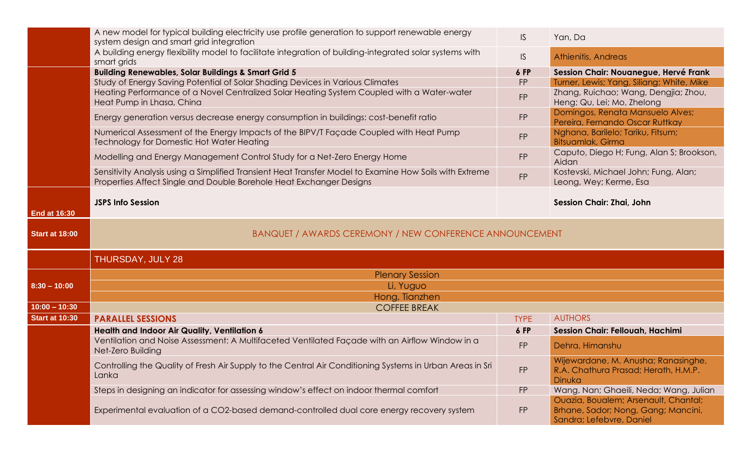|                       | A new model for typical building electricity use profile generation to support renewable energy<br>system design and smart grid integration                                    | $\mathsf{IS}$ | Yan, Da                                                                               |
|-----------------------|--------------------------------------------------------------------------------------------------------------------------------------------------------------------------------|---------------|---------------------------------------------------------------------------------------|
|                       | A building energy flexibility model to facilitate integration of building-integrated solar systems with<br>smart grids                                                         | IS.           | <b>Athienitis, Andreas</b>                                                            |
|                       | <b>Building Renewables, Solar Buildings &amp; Smart Grid 5</b>                                                                                                                 | 6 FP          | Session Chair: Nouanegue, Hervé Frank                                                 |
|                       | Study of Energy Saving Potential of Solar Shading Devices in Various Climates                                                                                                  | <b>FP</b>     | Turner, Lewis; Yang, Siliang; White, Mike                                             |
|                       | Heating Performance of a Novel Centralized Solar Heating System Coupled with a Water-water<br>Heat Pump in Lhasa, China                                                        | <b>FP</b>     | Zhang, Ruichao; Wang, Dengjia; Zhou,<br>Heng; Qu, Lei; Mo, Zhelong                    |
|                       | Energy generation versus decrease energy consumption in buildings: cost-benefit ratio                                                                                          | <b>FP</b>     | Domingos, Renata Mansuelo Alves;<br>Pereira, Fernando Oscar Ruttkay                   |
|                       | Numerical Assessment of the Energy Impacts of the BIPV/T Façade Coupled with Heat Pump<br>Technology for Domestic Hot Water Heating                                            | <b>FP</b>     | Nghana, Barilelo; Tariku, Fitsum;<br>Bitsuamlak, Girma                                |
|                       | Modelling and Energy Management Control Study for a Net-Zero Energy Home                                                                                                       | <b>FP</b>     | Caputo, Diego H; Fung, Alan S; Brookson,<br>Aidan                                     |
|                       | Sensitivity Analysis using a Simplified Transient Heat Transfer Model to Examine How Soils with Extreme<br>Properties Affect Single and Double Borehole Heat Exchanger Designs | FP            | Kostevski, Michael John; Fung, Alan;<br>Leong, Wey; Kerme, Esa                        |
| <b>End at 16:30</b>   | <b>JSPS Info Session</b>                                                                                                                                                       |               | <b>Session Chair: Zhai, John</b>                                                      |
| <b>Start at 18:00</b> | BANQUET / AWARDS CEREMONY / NEW CONFERENCE ANNOUNCEMENT                                                                                                                        |               |                                                                                       |
|                       | THURSDAY, JULY 28                                                                                                                                                              |               |                                                                                       |
|                       | <b>Plenary Session</b>                                                                                                                                                         |               |                                                                                       |
| $8:30 - 10:00$        | Li, Yuguo                                                                                                                                                                      |               |                                                                                       |
|                       | Hong, Tianzhen                                                                                                                                                                 |               |                                                                                       |
| $10:00 - 10:30$       | <b>COFFEE BREAK</b>                                                                                                                                                            |               |                                                                                       |
| <b>Start at 10:30</b> |                                                                                                                                                                                |               |                                                                                       |
|                       | <b>PARALLEL SESSIONS</b>                                                                                                                                                       | <b>TYPE</b>   | <b>AUTHORS</b>                                                                        |
|                       | Health and Indoor Air Quality, Ventilation 6                                                                                                                                   | 6 FP          | <b>Session Chair: Fellouah, Hachimi</b>                                               |
|                       | Ventilation and Noise Assessment: A Multifaceted Ventilated Façade with an Airflow Window in a<br>Net-Zero Building                                                            | <b>FP</b>     | Dehra, Himanshu                                                                       |
|                       | Controlling the Quality of Fresh Air Supply to the Central Air Conditioning Systems in Urban Areas in Sri<br>Lanka                                                             | <b>FP</b>     | Wijewardane, M. Anusha; Ranasinghe,<br>R.A. Chathura Prasad; Herath, H.M.P.<br>Dinuka |
|                       | Steps in designing an indicator for assessing window's effect on indoor thermal comfort                                                                                        | <b>FP</b>     | Wang, Nan; Ghaeili, Neda; Wang, Julian                                                |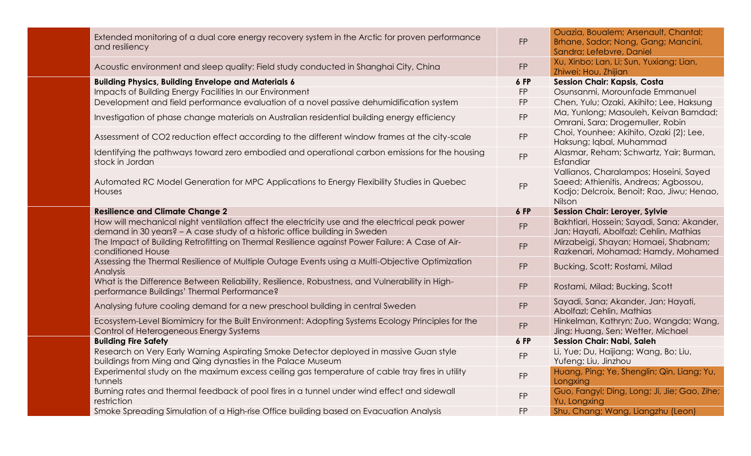| Extended monitoring of a dual core energy recovery system in the Arctic for proven performance<br>and resiliency                                                                                     | FP                     | Ouazia, Boualem; Arsenault, Chantal;<br>Brhane, Sador; Nong, Gang; Mancini,<br>Sandra; Lefebvre, Daniel                                 |
|------------------------------------------------------------------------------------------------------------------------------------------------------------------------------------------------------|------------------------|-----------------------------------------------------------------------------------------------------------------------------------------|
| Acoustic environment and sleep quality: Field study conducted in Shanghai City, China                                                                                                                | <b>FP</b>              | Xu, Xinbo; Lan, Li; Sun, Yuxiang; Lian,<br>Zhiwei; Hou, Zhijian                                                                         |
| <b>Building Physics, Building Envelope and Materials 6</b>                                                                                                                                           | 6 FP                   | <b>Session Chair: Kapsis, Costa</b>                                                                                                     |
| Impacts of Building Energy Facilities In our Environment                                                                                                                                             | <b>FP</b>              | Osunsanmi, Morounfade Emmanuel                                                                                                          |
| Development and field performance evaluation of a novel passive dehumidification system                                                                                                              | <b>FP</b>              | Chen, Yulu; Ozaki, Akihito; Lee, Haksung                                                                                                |
| Investigation of phase change materials on Australian residential building energy efficiency                                                                                                         | <b>FP</b>              | Ma, Yunlong; Masouleh, Keivan Bamdad;<br>Omrani, Sara; Drogemuller, Robin                                                               |
| Assessment of CO2 reduction effect according to the different window frames at the city-scale                                                                                                        | <b>FP</b>              | Choi, Younhee; Akihito, Ozaki (2); Lee,<br>Haksung; Iqbal, Muhammad                                                                     |
| Identifying the pathways toward zero embodied and operational carbon emissions for the housing<br>stock in Jordan                                                                                    | <b>FP</b>              | Alasmar, Reham; Schwartz, Yair; Burman,<br>Esfandiar                                                                                    |
| Automated RC Model Generation for MPC Applications to Energy Flexibility Studies in Quebec<br>Houses                                                                                                 | <b>FP</b>              | Vallianos, Charalampos; Hoseini, Sayed<br>Saeed; Athienitis, Andreas; Agbossou,<br>Kodjo; Delcroix, Benoit; Rao, Jiwu; Henao,<br>Nilson |
| <b>Resilience and Climate Change 2</b>                                                                                                                                                               | 6 FP                   | <b>Session Chair: Leroyer, Sylvie</b>                                                                                                   |
| How will mechanical night ventilation affect the electricity use and the electrical peak power                                                                                                       |                        | Bakhtiari, Hossein; Sayadi, Sana; Akander,                                                                                              |
| demand in 30 years? - A case study of a historic office building in Sweden                                                                                                                           | <b>FP</b>              | Jan; Hayati, Abolfazl; Cehlin, Mathias                                                                                                  |
| The Impact of Building Retrofitting on Thermal Resilience against Power Failure: A Case of Air-<br>conditioned House                                                                                 | <b>FP</b>              | Mirzabeigi, Shayan; Homaei, Shabnam;<br>Razkenari, Mohamad; Hamdy, Mohamed                                                              |
| Assessing the Thermal Resilience of Multiple Outage Events using a Multi-Objective Optimization<br>Analysis                                                                                          | <b>FP</b>              | Bucking, Scott; Rostami, Milad                                                                                                          |
| What is the Difference Between Reliability, Resilience, Robustness, and Vulnerability in High-<br>performance Buildings' Thermal Performance?                                                        | <b>FP</b>              | Rostami, Milad; Bucking, Scott                                                                                                          |
| Analysing future cooling demand for a new preschool building in central Sweden                                                                                                                       | <b>FP</b>              | Sayadi, Sana; Akander, Jan; Hayati,<br>Abolfazl; Cehlin, Mathias                                                                        |
| Ecosystem-Level Biomimicry for the Built Environment: Adopting Systems Ecology Principles for the<br>Control of Heterogeneous Energy Systems                                                         | FP                     | Hinkelman, Kathryn; Zuo, Wangda; Wang,<br>Jing; Huang, Sen; Wetter, Michael                                                             |
| <b>Building Fire Safety</b>                                                                                                                                                                          | 6 FP                   | <b>Session Chair: Nabi, Saleh</b>                                                                                                       |
| Research on Very Early Warning Aspirating Smoke Detector deployed in massive Guan style<br>buildings from Ming and Qing dynasties in the Palace Museum                                               | FP                     | Li, Yue; Du, Haijiang; Wang, Bo; Liu,<br>Yufeng; Liu, Jinzhou                                                                           |
| Experimental study on the maximum excess ceiling gas temperature of cable tray fires in utility<br>tunnels                                                                                           | <b>FP</b>              | Huang, Ping; Ye, Shenglin; Qin, Liang; Yu,<br>Longxing                                                                                  |
| Burning rates and thermal feedback of pool fires in a tunnel under wind effect and sidewall<br>restriction<br>Smoke Spreading Simulation of a High-rise Office building based on Evacuation Analysis | <b>FP</b><br><b>FP</b> | Guo, Fangyi; Ding, Long; Ji, Jie; Gao, Zihe;<br>Yu, Longxing<br>Shu, Chang; Wang, Liangzhu (Leon)                                       |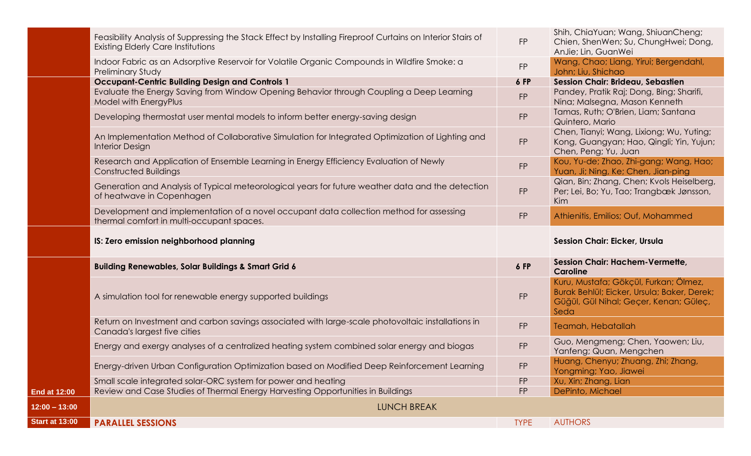|                     | Feasibility Analysis of Suppressing the Stack Effect by Installing Fireproof Curtains on Interior Stairs of<br><b>Existing Elderly Care Institutions</b> | <b>FP</b> | Shih, ChiaYuan; Wang, ShiuanCheng;<br>Chien, ShenWen; Su, ChungHwei; Dong,<br>AnJie; Lin, GuanWei                                      |
|---------------------|----------------------------------------------------------------------------------------------------------------------------------------------------------|-----------|----------------------------------------------------------------------------------------------------------------------------------------|
|                     | Indoor Fabric as an Adsorptive Reservoir for Volatile Organic Compounds in Wildfire Smoke: a<br><b>Preliminary Study</b>                                 | <b>FP</b> | Wang, Chao; Liang, Yirui; Bergendahl,<br>John; Liu, Shichao                                                                            |
|                     | <b>Occupant-Centric Building Design and Controls 1</b>                                                                                                   | 6 FP      | Session Chair: Brideau, Sebastien                                                                                                      |
|                     | Evaluate the Energy Saving from Window Opening Behavior through Coupling a Deep Learning<br>Model with EnergyPlus                                        | <b>FP</b> | Pandey, Pratik Raj; Dong, Bing; Sharifi,<br>Nina; Malsegna, Mason Kenneth                                                              |
|                     | Developing thermostat user mental models to inform better energy-saving design                                                                           | <b>FP</b> | Tamas, Ruth; O'Brien, Liam; Santana<br>Quintero, Mario                                                                                 |
|                     | An Implementation Method of Collaborative Simulation for Integrated Optimization of Lighting and<br><b>Interior Design</b>                               | <b>FP</b> | Chen, Tianyi; Wang, Lixiong; Wu, Yuting;<br>Kong, Guangyan; Hao, Qingli; Yin, Yujun;<br>Chen, Peng; Yu, Juan                           |
|                     | Research and Application of Ensemble Learning in Energy Efficiency Evaluation of Newly<br><b>Constructed Buildings</b>                                   | <b>FP</b> | Kou, Yu-de; Zhao, Zhi-gang; Wang, Hao;<br>Yuan, Ji; Ning, Ke; Chen, Jian-ping                                                          |
|                     | Generation and Analysis of Typical meteorological years for future weather data and the detection<br>of heatwave in Copenhagen                           | <b>FP</b> | Qian, Bin; Zhang, Chen; Kvols Heiselberg,<br>Per; Lei, Bo; Yu, Tao; Trangbæk Jønsson,<br>Kim                                           |
|                     | Development and implementation of a novel occupant data collection method for assessing<br>thermal comfort in multi-occupant spaces.                     | <b>FP</b> | Athienitis, Emilios; Ouf, Mohammed                                                                                                     |
|                     |                                                                                                                                                          |           |                                                                                                                                        |
|                     | IS: Zero emission neighborhood planning                                                                                                                  |           | <b>Session Chair: Eicker, Ursula</b>                                                                                                   |
|                     | <b>Building Renewables, Solar Buildings &amp; Smart Grid 6</b>                                                                                           | 6 FP      | Session Chair: Hachem-Vermette,<br><b>Caroline</b>                                                                                     |
|                     | A simulation tool for renewable energy supported buildings                                                                                               | <b>FP</b> | Kuru, Mustafa; Gökçül, Furkan; Ölmez,<br>Burak Behlül; Eicker, Ursula; Baker, Derek;<br>Güğül, Gül Nihal; Geçer, Kenan; Güleç,<br>Seda |
|                     | Return on Investment and carbon savings associated with large-scale photovoltaic installations in<br>Canada's largest five cities                        | <b>FP</b> | Teamah, Hebatallah                                                                                                                     |
|                     | Energy and exergy analyses of a centralized heating system combined solar energy and biogas                                                              | <b>FP</b> | Guo, Mengmeng; Chen, Yaowen; Liu,<br>Yanfeng; Quan, Mengchen                                                                           |
|                     | Energy-driven Urban Configuration Optimization based on Modified Deep Reinforcement Learning                                                             | <b>FP</b> | Huang, Chenyu; Zhuang, Zhi; Zhang,<br>Yongming; Yao, Jiawei                                                                            |
|                     | Small scale integrated solar-ORC system for power and heating                                                                                            | <b>FP</b> | Xu, Xin; Zhang, Lian                                                                                                                   |
| <b>End at 12:00</b> | Review and Case Studies of Thermal Energy Harvesting Opportunities in Buildings                                                                          | <b>FP</b> | DePinto, Michael                                                                                                                       |
| $12:00 - 13:00$     | <b>LUNCH BREAK</b>                                                                                                                                       |           |                                                                                                                                        |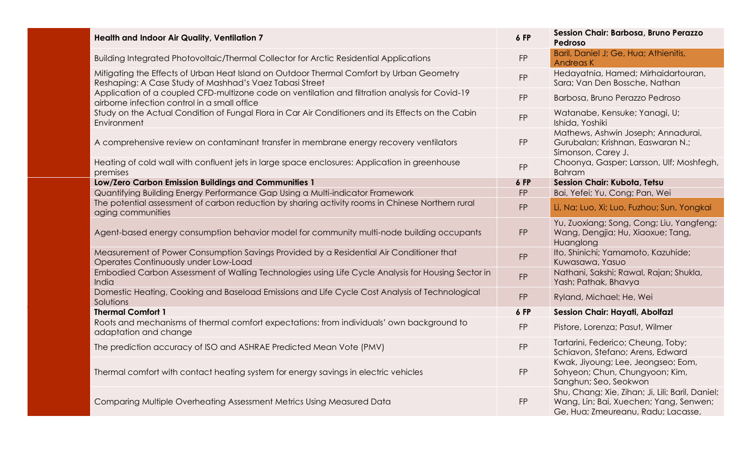| <b>Health and Indoor Air Quality, Ventilation 7</b>                                                                                                 | 6 FP      | Session Chair: Barbosa, Bruno Perazzo<br>Pedroso                                                                                 |
|-----------------------------------------------------------------------------------------------------------------------------------------------------|-----------|----------------------------------------------------------------------------------------------------------------------------------|
| Building Integrated Photovoltaic/Thermal Collector for Arctic Residential Applications                                                              | <b>FP</b> | Baril, Daniel J; Ge, Hua; Athienitis,<br><b>Andreas K</b>                                                                        |
| Mitigating the Effects of Urban Heat Island on Outdoor Thermal Comfort by Urban Geometry<br>Reshaping: A Case Study of Mashhad's Vaez Tabasi Street | <b>FP</b> | Hedayatnia, Hamed; Mirhaidartouran,<br>Sara; Van Den Bossche, Nathan                                                             |
| Application of a coupled CFD-multizone code on ventilation and filtration analysis for Covid-19<br>airborne infection control in a small office     | <b>FP</b> | Barbosa, Bruno Perazzo Pedroso                                                                                                   |
| Study on the Actual Condition of Fungal Flora in Car Air Conditioners and its Effects on the Cabin<br>Environment                                   | <b>FP</b> | Watanabe, Kensuke; Yanagi, U;<br>Ishida, Yoshiki                                                                                 |
| A comprehensive review on contaminant transfer in membrane energy recovery ventilators                                                              | <b>FP</b> | Mathews, Ashwin Joseph; Annadurai,<br>Gurubalan; Krishnan, Easwaran N.;<br>Simonson, Carey J.                                    |
| Heating of cold wall with confluent jets in large space enclosures: Application in greenhouse<br>premises                                           | <b>FP</b> | Choonya, Gasper; Larsson, Ulf; Moshfegh,<br><b>Bahram</b>                                                                        |
| Low/Zero Carbon Emission Buildings and Communities 1                                                                                                | 6 FP      | Session Chair: Kubota, Tetsu                                                                                                     |
| Quantifying Building Energy Performance Gap Using a Multi-indicator Framework                                                                       | <b>FP</b> | Bai, Yefei; Yu, Cong; Pan, Wei                                                                                                   |
| The potential assessment of carbon reduction by sharing activity rooms in Chinese Northern rural<br>aging communities                               | <b>FP</b> | Li, Na; Luo, Xi; Luo, Fuzhou; Sun, Yongkai                                                                                       |
| Agent-based energy consumption behavior model for community multi-node building occupants                                                           | <b>FP</b> | Yu, Zuoxiang; Song, Cong; Liu, Yangfeng;<br>Wang, Dengjia; Hu, Xiaoxue; Tang,<br>Huanglong                                       |
| Measurement of Power Consumption Savings Provided by a Residential Air Conditioner that<br>Operates Continuously under Low-Load                     | <b>FP</b> | Ito, Shinichi; Yamamoto, Kazuhide;<br>Kuwasawa, Yasuo                                                                            |
| Embodied Carbon Assessment of Walling Technologies using Life Cycle Analysis for Housing Sector in<br>India                                         | <b>FP</b> | Nathani, Sakshi; Rawal, Rajan; Shukla,<br>Yash; Pathak, Bhavya                                                                   |
| Domestic Heating, Cooking and Baseload Emissions and Life Cycle Cost Analysis of Technological<br>Solutions                                         | <b>FP</b> | Ryland, Michael; He, Wei                                                                                                         |
| <b>Thermal Comfort 1</b>                                                                                                                            | 6 FP      | Session Chair: Hayati, Abolfazl                                                                                                  |
| Roots and mechanisms of thermal comfort expectations: from individuals' own background to<br>adaptation and change                                  | <b>FP</b> | Pistore, Lorenza; Pasut, Wilmer                                                                                                  |
| The prediction accuracy of ISO and ASHRAE Predicted Mean Vote (PMV)                                                                                 | <b>FP</b> | Tartarini, Federico; Cheung, Toby;<br>Schiavon, Stefano; Arens, Edward                                                           |
| Thermal comfort with contact heating system for energy savings in electric vehicles                                                                 | <b>FP</b> | Kwak, Jiyoung; Lee, Jeongseo; Eom,<br>Sohyeon; Chun, Chungyoon; Kim,<br>Sanghun; Seo, Seokwon                                    |
| Comparing Multiple Overheating Assessment Metrics Using Measured Data                                                                               | <b>FP</b> | Shu, Chang; Xie, Zihan; Ji, Lili; Baril, Daniel;<br>Wang, Lin; Bai, Xuechen; Yang, Senwen;<br>Ge, Hua; Zmeureanu, Radu; Lacasse, |
|                                                                                                                                                     |           |                                                                                                                                  |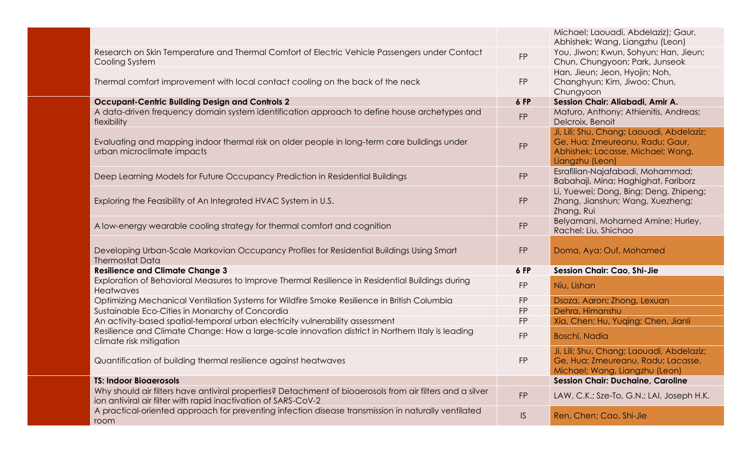|                                                                                                                                                                             |           | Michael; Laouadi, Abdelaziz); Gaur,<br>Abhishek; Wang, Liangzhu (Leon)                                                               |
|-----------------------------------------------------------------------------------------------------------------------------------------------------------------------------|-----------|--------------------------------------------------------------------------------------------------------------------------------------|
| Research on Skin Temperature and Thermal Comfort of Electric Vehicle Passengers under Contact<br>Cooling System                                                             | <b>FP</b> | You, Jiwon; Kwun, Sohyun; Han, Jieun;<br>Chun, Chungyoon; Park, Junseok                                                              |
| Thermal comfort improvement with local contact cooling on the back of the neck                                                                                              | <b>FP</b> | Han, Jieun; Jeon, Hyojin; Noh,<br>Changhyun; Kim, Jiwoo; Chun,<br>Chungyoon                                                          |
| <b>Occupant-Centric Building Design and Controls 2</b>                                                                                                                      | 6 FP      | Session Chair: Aliabadi, Amir A.                                                                                                     |
| A data-driven frequency domain system identification approach to define house archetypes and<br>flexibility                                                                 | <b>FP</b> | Maturo, Anthony; Athienitis, Andreas;<br>Delcroix, Benoit                                                                            |
| Evaluating and mapping indoor thermal risk on older people in long-term care buildings under<br>urban microclimate impacts                                                  | <b>FP</b> | Ji, Lili; Shu, Chang; Laouadi, Abdelaziz;<br>Ge, Hua; Zmeureanu, Radu; Gaur,<br>Abhishek; Lacasse, Michael; Wang,<br>Liangzhu (Leon) |
| Deep Learning Models for Future Occupancy Prediction in Residential Buildings                                                                                               | <b>FP</b> | Esrafilian-Najafabadi, Mohammad;<br>Babahaji, Mina; Haghighat, Fariborz                                                              |
| Exploring the Feasibility of An Integrated HVAC System in U.S.                                                                                                              | <b>FP</b> | Li, Yuewei; Dong, Bing; Deng, Zhipeng;<br>Zhang, Jianshun; Wang, Xuezheng;<br>Zhang, Rui                                             |
| A low-energy wearable cooling strategy for thermal comfort and cognition                                                                                                    | <b>FP</b> | Belyamani, Mohamed Amine; Hurley,<br>Rachel; Liu, Shichao                                                                            |
| Developing Urban-Scale Markovian Occupancy Profiles for Residential Buildings Using Smart<br><b>Thermostat Data</b>                                                         | <b>FP</b> | Doma, Aya; Ouf, Mohamed                                                                                                              |
| <b>Resilience and Climate Change 3</b>                                                                                                                                      | 6 FP      | <b>Session Chair: Cao, Shi-Jie</b>                                                                                                   |
| Exploration of Behavioral Measures to Improve Thermal Resilience in Residential Buildings during<br><b>Heatwaves</b>                                                        | <b>FP</b> | Niu, Lishan                                                                                                                          |
| Optimizing Mechanical Ventilation Systems for Wildfire Smoke Resilience in British Columbia                                                                                 | <b>FP</b> | Dsoza, Aaron; Zhong, Lexuan                                                                                                          |
| Sustainable Eco-Cities in Monarchy of Concordia                                                                                                                             | <b>FP</b> | Dehra, Himanshu                                                                                                                      |
| An activity-based spatial-temporal urban electricity vulnerability assessment                                                                                               | <b>FP</b> | Xia, Chen; Hu, Yuqing; Chen, Jianli                                                                                                  |
| Resilience and Climate Change: How a large-scale innovation district in Northern Italy is leading<br>climate risk mitigation                                                | <b>FP</b> | <b>Boschi, Nadia</b>                                                                                                                 |
| Quantification of building thermal resilience against heatwaves                                                                                                             | <b>FP</b> | Ji, Lili; Shu, Chang; Laouadi, Abdelaziz;<br>Ge, Hua; Zmeureanu, Radu; Lacasse,<br>Michael; Wang, Liangzhu (Leon)                    |
| <b>TS: Indoor Bioaerosols</b>                                                                                                                                               |           | <b>Session Chair: Duchaine, Caroline</b>                                                                                             |
| Why should air filters have antiviral properties? Detachment of bioaerosols from air filters and a silver<br>ion antiviral air filter with rapid inactivation of SARS-CoV-2 | <b>FP</b> | LAW, C.K.; Sze-To, G.N.; LAI, Joseph H.K.                                                                                            |
| A practical-oriented approach for preventing infection disease transmission in naturally ventilated<br>room                                                                 | IS        | Ren, Chen; Cao, Shi-Jie                                                                                                              |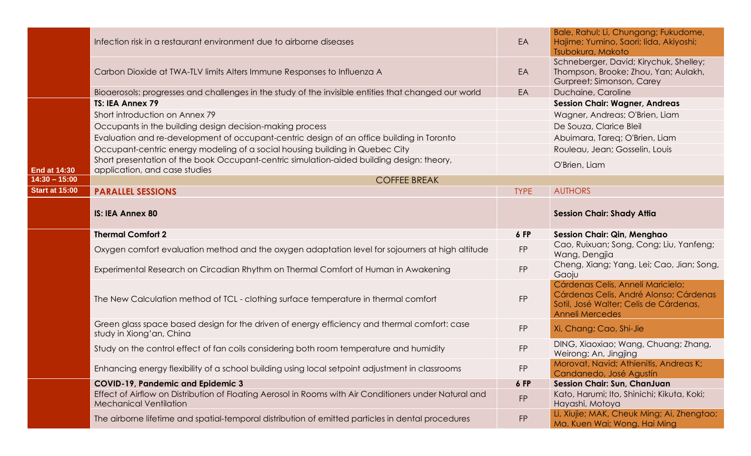|                       | Infection risk in a restaurant environment due to airborne diseases                                                                     | EA          | Bale, Rahul; Li, Chungang; Fukudome,<br>Hajime; Yumino, Saori; lida, Akiyoshi;<br>Tsubokura, Makoto                                             |
|-----------------------|-----------------------------------------------------------------------------------------------------------------------------------------|-------------|-------------------------------------------------------------------------------------------------------------------------------------------------|
|                       | Carbon Dioxide at TWA-TLV limits Alters Immune Responses to Influenza A                                                                 | EA          | Schneberger, David; Kirychuk, Shelley;<br>Thompson, Brooke; Zhou, Yan; Aulakh,<br>Gurpreet; Simonson, Carey                                     |
|                       | Bioaerosols: progresses and challenges in the study of the invisible entities that changed our world                                    | EA          | Duchaine, Caroline                                                                                                                              |
|                       | TS: IEA Annex 79                                                                                                                        |             | <b>Session Chair: Wagner, Andreas</b>                                                                                                           |
|                       | Short introduction on Annex 79                                                                                                          |             | Wagner, Andreas; O'Brien, Liam                                                                                                                  |
|                       | Occupants in the building design decision-making process                                                                                |             | De Souza, Clarice Bleil                                                                                                                         |
|                       | Evaluation and re-development of occupant-centric design of an office building in Toronto                                               |             | Abuimara, Tareq; O'Brien, Liam                                                                                                                  |
|                       | Occupant-centric energy modeling of a social housing building in Quebec City                                                            |             | Rouleau, Jean; Gosselin, Louis                                                                                                                  |
| <b>End at 14:30</b>   | Short presentation of the book Occupant-centric simulation-aided building design: theory,<br>application, and case studies              |             | O'Brien, Liam                                                                                                                                   |
| $14:30 - 15:00$       | <b>COFFEE BREAK</b>                                                                                                                     |             |                                                                                                                                                 |
| <b>Start at 15:00</b> | <b>PARALLEL SESSIONS</b>                                                                                                                | <b>TYPE</b> | <b>AUTHORS</b>                                                                                                                                  |
|                       | <b>IS: IEA Annex 80</b>                                                                                                                 |             | <b>Session Chair: Shady Attia</b>                                                                                                               |
|                       |                                                                                                                                         |             |                                                                                                                                                 |
|                       | <b>Thermal Comfort 2</b>                                                                                                                | 6 FP        | <b>Session Chair: Qin, Menghao</b>                                                                                                              |
|                       | Oxygen comfort evaluation method and the oxygen adaptation level for sojourners at high altitude                                        | <b>FP</b>   | Cao, Ruixuan; Song, Cong; Liu, Yanfeng;<br>Wang, Dengjia                                                                                        |
|                       | Experimental Research on Circadian Rhythm on Thermal Comfort of Human in Awakening                                                      | <b>FP</b>   | Cheng, Xiang; Yang, Lei; Cao, Jian; Song,<br>Gaoju                                                                                              |
|                       | The New Calculation method of TCL - clothing surface temperature in thermal comfort                                                     | <b>FP</b>   | Cárdenas Celis, Anneli Maricielo;<br>Cárdenas Celis, André Alonso; Cárdenas<br>Sotil, José Walter; Celis de Cárdenas,<br><b>Anneli Mercedes</b> |
|                       | Green glass space based design for the driven of energy efficiency and thermal comfort: case<br>study in Xiong'an, China                | <b>FP</b>   | Xi, Chang; Cao, Shi-Jie                                                                                                                         |
|                       | Study on the control effect of fan coils considering both room temperature and humidity                                                 | <b>FP</b>   | DING, Xiaoxiao; Wang, Chuang; Zhang,<br>Weirong; An, Jingjing                                                                                   |
|                       | Enhancing energy flexibility of a school building using local setpoint adjustment in classrooms                                         | FP          | Morovat, Navid; Athienitis, Andreas K;<br>Candanedo, José Agustín                                                                               |
|                       | <b>COVID-19, Pandemic and Epidemic 3</b>                                                                                                | 6 FP        | <b>Session Chair: Sun, ChanJuan</b>                                                                                                             |
|                       | Effect of Airflow on Distribution of Floating Aerosol in Rooms with Air Conditioners under Natural and<br><b>Mechanical Ventilation</b> | <b>FP</b>   | Kato, Harumi; Ito, Shinichi; Kikuta, Koki;<br>Hayashi, Motoya<br>Li, Xiujie; MAK, Cheuk Ming; Ai, Zhengtao;                                     |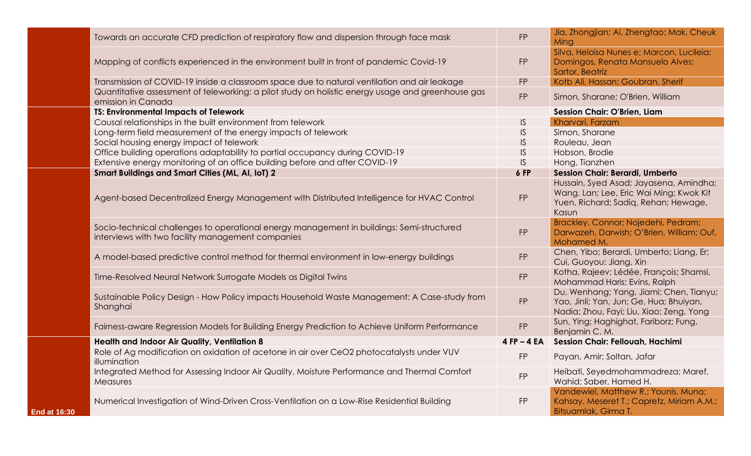|                     | Towards an accurate CFD prediction of respiratory flow and dispersion through face mask                                                        | <b>FP</b>   | Jia, Zhongjian; Ai, Zhengtao; Mak, Cheuk<br>Ming                                                                                   |
|---------------------|------------------------------------------------------------------------------------------------------------------------------------------------|-------------|------------------------------------------------------------------------------------------------------------------------------------|
|                     | Mapping of conflicts experienced in the environment built in front of pandemic Covid-19                                                        | <b>FP</b>   | Silva, Heloisa Nunes e; Marcon, Lucileia;<br>Domingos, Renata Mansuelo Alves;<br>Sartor, Beatriz                                   |
|                     | Transmission of COVID-19 inside a classroom space due to natural ventilation and air leakage                                                   | <b>FP</b>   | Kotb Ali, Hassan; Goubran, Sherif                                                                                                  |
|                     | Quantitative assessment of teleworking: a pilot study on holistic energy usage and greenhouse gas<br>emission in Canada                        | FP          | Simon, Sharane; O'Brien, William                                                                                                   |
|                     | <b>TS: Environmental Impacts of Telework</b>                                                                                                   |             | <b>Session Chair: O'Brien, Liam</b>                                                                                                |
|                     | Causal relationships in the built environment from telework                                                                                    | IS.         | Kharvari, Farzam                                                                                                                   |
|                     | Long-term field measurement of the energy impacts of telework                                                                                  | IS.         | Simon, Sharane                                                                                                                     |
|                     | Social housing energy impact of telework                                                                                                       | IS.         | Rouleau, Jean                                                                                                                      |
|                     | Office building operations adaptability to partial occupancy during COVID-19                                                                   | IS.         | Hobson, Brodie                                                                                                                     |
|                     | Extensive energy monitoring of an office building before and after COVID-19                                                                    | IS.         | Hong, Tianzhen                                                                                                                     |
|                     | <b>Smart Buildings and Smart Cities (ML, AI, IoT) 2</b>                                                                                        | <b>6 FP</b> | Session Chair: Berardi, Umberto                                                                                                    |
|                     | Agent-based Decentralized Energy Management with Distributed Intelligence for HVAC Control                                                     | <b>FP</b>   | Hussain, Syed Asad; Jayasena, Amindha;<br>Wang, Lan; Lee, Eric Wai Ming; Kwok Kit<br>Yuen, Richard; Sadiq, Rehan; Hewage,<br>Kasun |
|                     | Socio-technical challenges to operational energy management in buildings: Semi-structured<br>interviews with two facility management companies | FP          | Brackley, Connor; Nojedehi, Pedram;<br>Darwazeh, Darwish; O'Brien, William; Ouf,<br>Mohamed M.                                     |
|                     | A model-based predictive control method for thermal environment in low-energy buildings                                                        | FP          | Chen, Yibo; Berardi, Umberto; Liang, Er;<br>Cui, Guoyou; Jiang, Xin                                                                |
|                     | Time-Resolved Neural Network Surrogate Models as Digital Twins                                                                                 | FP          | Kotha, Rajeev; Lédée, François; Shamsi,<br>Mohammad Haris; Evins, Ralph                                                            |
|                     | Sustainable Policy Design - How Policy impacts Household Waste Management: A Case-study from<br>Shanghai                                       | FP          | Du, Wenhang; Yang, Jiami; Chen, Tianyu;<br>Yao, Jinli; Yan, Jun; Ge, Hua; Bhuiyan,<br>Nadia; Zhou, Fayi; Liu, Xiao; Zeng, Yong     |
|                     | Fairness-aware Regression Models for Building Energy Prediction to Achieve Uniform Performance                                                 | <b>FP</b>   | Sun, Ying; Haghighat, Fariborz; Fung,<br>Benjamin C. M.                                                                            |
|                     | Health and Indoor Air Quality, Ventilation 8                                                                                                   | $4FP - 4EA$ | <b>Session Chair: Fellouah, Hachimi</b>                                                                                            |
|                     | Role of Ag modification on oxidation of acetone in air over CeO2 photocatalysts under VUV<br>illumination                                      | <b>FP</b>   | Payan, Amir; Soltan, Jafar                                                                                                         |
|                     | Integrated Method for Assessing Indoor Air Quality, Moisture Performance and Thermal Comfort<br>Measures                                       | <b>FP</b>   | Heibati, Seyedmohammadreza; Maref,<br>Wahid; Saber, Hamed H.                                                                       |
| <b>End at 16:30</b> | Numerical Investigation of Wind-Driven Cross-Ventilation on a Low-Rise Residential Building                                                    | <b>FP</b>   | Vandewiel, Matthew R.; Younis, Muna;<br>Kahsay, Meseret T.; Capretz, Miriam A.M.;<br>Bitsuamlak, Girma T.                          |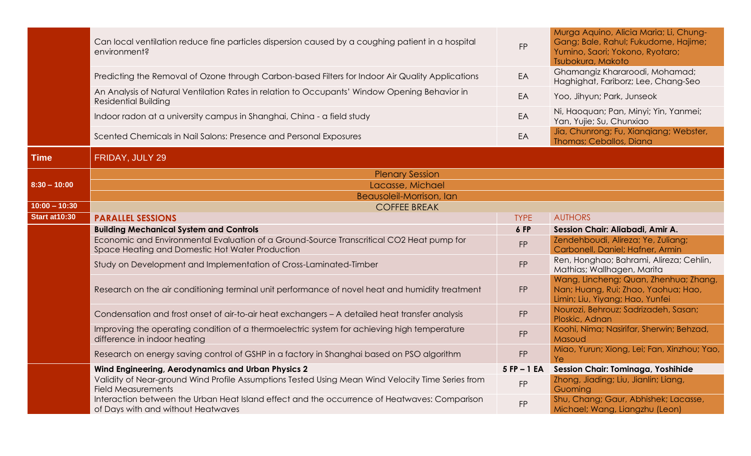|                       | Can local ventilation reduce fine particles dispersion caused by a coughing patient in a hospital<br>environment?                           | <b>FP</b>      | Murga Aquino, Alicia Maria; Li, Chung-<br>Gang; Bale, Rahul; Fukudome, Hajime;<br>Yumino, Saori; Yokono, Ryotaro;<br>Tsubokura, Makoto |
|-----------------------|---------------------------------------------------------------------------------------------------------------------------------------------|----------------|----------------------------------------------------------------------------------------------------------------------------------------|
|                       | Predicting the Removal of Ozone through Carbon-based Filters for Indoor Air Quality Applications                                            | EA             | Ghamangiz Khararoodi, Mohamad;<br>Haghighat, Fariborz; Lee, Chang-Seo                                                                  |
|                       | An Analysis of Natural Ventilation Rates in relation to Occupants' Window Opening Behavior in<br><b>Residential Building</b>                | EA             | Yoo, Jihyun; Park, Junseok                                                                                                             |
|                       | Indoor radon at a university campus in Shanghai, China - a field study                                                                      | EA             | Ni, Haoquan; Pan, Minyi; Yin, Yanmei;<br>Yan, Yujie; Su, Chunxiao                                                                      |
|                       | Scented Chemicals in Nail Salons: Presence and Personal Exposures                                                                           | EA             | Jia, Chunrong; Fu, Xianqiang; Webster,<br><b>Thomas: Ceballos, Diana</b>                                                               |
| Time                  | FRIDAY, JULY 29                                                                                                                             |                |                                                                                                                                        |
|                       | <b>Plenary Session</b>                                                                                                                      |                |                                                                                                                                        |
| $8:30 - 10:00$        | Lacasse, Michael                                                                                                                            |                |                                                                                                                                        |
|                       | Beausoleil-Morrison, Ian                                                                                                                    |                |                                                                                                                                        |
| $10:00 - 10:30$       | <b>COFFEE BREAK</b>                                                                                                                         |                |                                                                                                                                        |
| <b>Start at 10:30</b> | <b>PARALLEL SESSIONS</b>                                                                                                                    | <b>TYPE</b>    | <b>AUTHORS</b>                                                                                                                         |
|                       | <b>Building Mechanical System and Controls</b>                                                                                              | 6 FP           | Session Chair: Aliabadi, Amir A.                                                                                                       |
|                       | Economic and Environmental Evaluation of a Ground-Source Transcritical CO2 Heat pump for<br>Space Heating and Domestic Hot Water Production | <b>FP</b>      | Zendehboudi, Alireza; Ye, Zuliang;<br>Carbonell, Daniel; Hafner, Armin                                                                 |
|                       | Study on Development and Implementation of Cross-Laminated-Timber                                                                           | <b>FP</b>      | Ren, Honghao; Bahrami, Alireza; Cehlin,<br>Mathias; Wallhagen, Marita                                                                  |
|                       | Research on the air conditioning terminal unit performance of novel heat and humidity treatment                                             | <b>FP</b>      | Wang, Lincheng; Quan, Zhenhua; Zhang,<br>Nan; Huang, Rui; Zhao, Yaohua; Hao,<br>Limin; Liu, Yiyang; Hao, Yunfei                        |
|                       | Condensation and frost onset of air-to-air heat exchangers - A detailed heat transfer analysis                                              | <b>FP</b>      | Nourozi, Behrouz; Sadrizadeh, Sasan;<br>Ploskic, Adnan                                                                                 |
|                       | Improving the operating condition of a thermoelectric system for achieving high temperature<br>difference in indoor heating                 | <b>FP</b>      | Koohi, Nima; Nasirifar, Sherwin; Behzad,<br>Masoud                                                                                     |
|                       | Research on energy saving control of GSHP in a factory in Shanghai based on PSO algorithm                                                   | <b>FP</b>      | Miao, Yurun; Xiong, Lei; Fan, Xinzhou; Yao,<br>Ye                                                                                      |
|                       | Wind Engineering, Aerodynamics and Urban Physics 2                                                                                          | $5$ FP $-1$ EA | Session Chair: Tominaga, Yoshihide                                                                                                     |
|                       | Validity of Near-ground Wind Profile Assumptions Tested Using Mean Wind Velocity Time Series from<br><b>Field Measurements</b>              | <b>FP</b>      | Zhong, Jiading; Liu, Jianlin; Liang,<br>Guoming                                                                                        |
|                       | Interaction between the Urban Heat Island effect and the occurrence of Heatwaves: Comparison<br>of Days with and without Heatwaves          | <b>FP</b>      | Shu, Chang; Gaur, Abhishek; Lacasse,<br>Michael; Wang, Liangzhu (Leon)                                                                 |
|                       |                                                                                                                                             |                |                                                                                                                                        |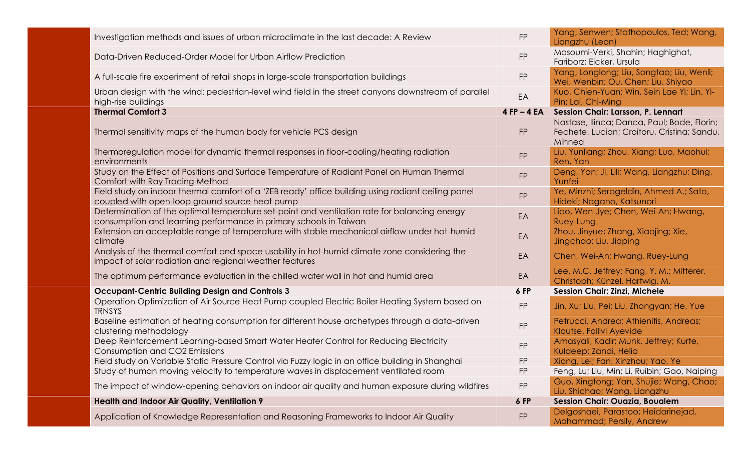| Investigation methods and issues of urban microclimate in the last decade: A Review                                                                               | <b>FP</b>       | Yang, Senwen; Stathopoulos, Ted; Wang,<br>Liangzhu (Leon)                                            |
|-------------------------------------------------------------------------------------------------------------------------------------------------------------------|-----------------|------------------------------------------------------------------------------------------------------|
| Data-Driven Reduced-Order Model for Urban Airflow Prediction                                                                                                      | <b>FP</b>       | Masoumi-Verki, Shahin; Haghighat,<br>Fariborz; Eicker, Ursula                                        |
| A full-scale fire experiment of retail shops in large-scale transportation buildings                                                                              | <b>FP</b>       | Yang, Longlong; Liu, Songtao; Liu, Wenli;<br>Wei, Wenbin; Ou, Chen; Liu, Shiyao                      |
| Urban design with the wind: pedestrian-level wind field in the street canyons downstream of parallel<br>high-rise buildings                                       | EA              | Kuo, Chien-Yuan; Win, Sein Lae Yi; Lin, Yi-<br>Pin; Lai, Chi-Ming                                    |
| <b>Thermal Comfort 3</b>                                                                                                                                          | $4$ FP $-$ 4 EA | Session Chair: Larsson, P. Lennart                                                                   |
| Thermal sensitivity maps of the human body for vehicle PCS design                                                                                                 | <b>FP</b>       | Nastase, Ilinca; Danca, Paul; Bode, Florin;<br>Fechete, Lucian; Croitoru, Cristina; Sandu,<br>Mihnea |
| Thermoregulation model for dynamic thermal responses in floor-cooling/heating radiation<br>environments                                                           | <b>FP</b>       | Liu, Yunliang; Zhou, Xiang; Luo, Maohui;<br>Ren, Yan                                                 |
| Study on the Effect of Positions and Surface Temperature of Radiant Panel on Human Thermal<br>Comfort with Ray Tracing Method                                     | <b>FP</b>       | Deng, Yan; Ji, Lili; Wang, Liangzhu; Ding,<br>Yunfei                                                 |
| Field study on indoor thermal comfort of a 'ZEB ready' office building using radiant ceiling panel<br>coupled with open-loop ground source heat pump              | <b>FP</b>       | Ye, Minzhi; Serageldin, Ahmed A.; Sato,<br>Hideki; Nagano, Katsunori                                 |
| Determination of the optimal temperature set-point and ventilation rate for balancing energy<br>consumption and learning performance in primary schools in Taiwan | EA              | Liao, Wen-Jye; Chen, Wei-An; Hwang,<br><b>Ruey-Lung</b>                                              |
| Extension on acceptable range of temperature with stable mechanical airflow under hot-humid<br>climate                                                            | EA              | Zhou, Jinyue; Zhang, Xiaojing; Xie,<br>Jingchao; Liu, Jiaping                                        |
| Analysis of the thermal comfort and space usability in hot-humid climate zone considering the<br>impact of solar radiation and regional weather features          | EA              | Chen, Wei-An; Hwang, Ruey-Lung                                                                       |
| The optimum performance evaluation in the chilled water wall in hot and humid area                                                                                | EA              | Lee, M.C. Jeffrey; Fang, Y. M.; Mitterer,<br>Christoph; Künzel, Hartwig. M.                          |
| <b>Occupant-Centric Building Design and Controls 3</b>                                                                                                            | 6 FP            | <b>Session Chair: Zinzi, Michele</b>                                                                 |
| Operation Optimization of Air Source Heat Pump coupled Electric Boiler Heating System based on<br><b>TRNSYS</b>                                                   | <b>FP</b>       | Jin, Xu; Liu, Pei; Liu, Zhongyan; He, Yue                                                            |
| Baseline estimation of heating consumption for different house archetypes through a data-driven<br>clustering methodology                                         | <b>FP</b>       | Petrucci, Andrea; Athienitis, Andreas;<br>Kloutse, Follivi Ayevide                                   |
| Deep Reinforcement Learning-based Smart Water Heater Control for Reducing Electricity<br><b>Consumption and CO2 Emissions</b>                                     | <b>FP</b>       | Amasyali, Kadir; Munk, Jeffrey; Kurte,<br>Kuldeep; Zandi, Helia                                      |
| Field study on Variable Static Pressure Control via Fuzzy logic in an office building in Shanghai                                                                 | <b>FP</b>       | Xiong, Lei; Fan, Xinzhou; Yao, Ye                                                                    |
| Study of human moving velocity to temperature waves in displacement ventilated room                                                                               | <b>FP</b>       | Feng, Lu; Liu, Min; Li, Ruibin; Gao, Naiping                                                         |
| The impact of window-opening behaviors on indoor air quality and human exposure during wildfires                                                                  | <b>FP</b>       | Guo, Xingtong; Yan, Shujie; Wang, Chao;<br>Liu, Shichao; Wang, Liangzhu                              |
| Health and Indoor Air Quality, Ventilation 9                                                                                                                      | 6 FP            | <b>Session Chair: Ouazia, Boualem</b>                                                                |
| Application of Knowledge Representation and Reasoning Frameworks to Indoor Air Quality                                                                            | <b>FP</b>       | Delgoshaei, Parastoo; Heidarinejad,<br>Mohammad; Persily, Andrew                                     |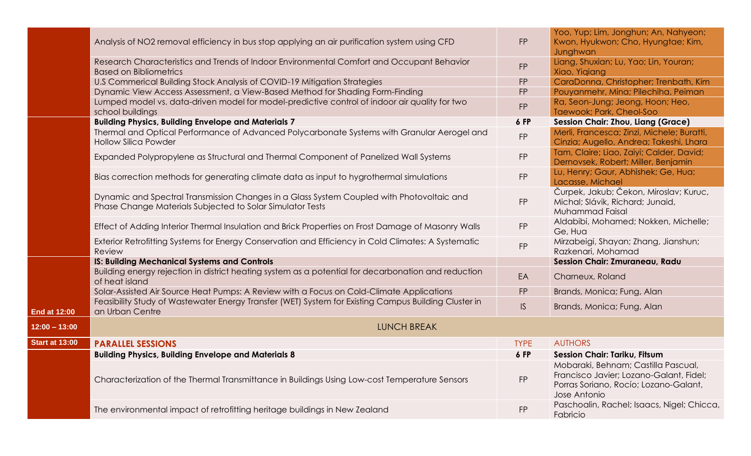|                       | Analysis of NO2 removal efficiency in bus stop applying an air purification system using CFD                                                           | <b>FP</b>     | Yoo, Yup; Lim, Jonghun; An, Nahyeon;<br>Kwon, Hyukwon; Cho, Hyungtae; Kim,<br>Junghwan                                                  |
|-----------------------|--------------------------------------------------------------------------------------------------------------------------------------------------------|---------------|-----------------------------------------------------------------------------------------------------------------------------------------|
|                       | Research Characteristics and Trends of Indoor Environmental Comfort and Occupant Behavior<br><b>Based on Bibliometrics</b>                             | <b>FP</b>     | Liang, Shuxian; Lu, Yao; Lin, Youran;<br>Xiao, Yiqiang                                                                                  |
|                       | U.S Commerical Building Stock Analysis of COVID-19 Mitigation Strategies                                                                               | <b>FP</b>     | CaraDonna, Christopher; Trenbath, Kim                                                                                                   |
|                       | Dynamic View Access Assessment, a View-Based Method for Shading Form-Finding                                                                           | <b>FP</b>     | Pouyanmehr, Mina; Pilechiha, Peiman                                                                                                     |
|                       | Lumped model vs. data-driven model for model-predictive control of indoor air quality for two<br>school buildings                                      | <b>FP</b>     | Ra, Seon-Jung; Jeong, Hoon; Heo,<br>Taewook; Park, Cheol-Soo                                                                            |
|                       | <b>Building Physics, Building Envelope and Materials 7</b>                                                                                             | 6 FP          | <b>Session Chair: Zhou, Liang (Grace)</b>                                                                                               |
|                       | Thermal and Optical Performance of Advanced Polycarbonate Systems with Granular Aerogel and<br><b>Hollow Silica Powder</b>                             | <b>FP</b>     | Merli, Francesca; Zinzi, Michele; Buratti,<br>Cinzia; Augello, Andrea; Takeshi, Lhara                                                   |
|                       | Expanded Polypropylene as Structural and Thermal Component of Panelized Wall Systems                                                                   | <b>FP</b>     | Tam, Claire; Liao, Zaiyi; Calder, David;<br>Dernovsek, Robert; Miller, Benjamin                                                         |
|                       | Bias correction methods for generating climate data as input to hygrothermal simulations                                                               | <b>FP</b>     | Lu, Henry; Gaur, Abhishek; Ge, Hua;<br>Lacasse, Michael                                                                                 |
|                       | Dynamic and Spectral Transmission Changes in a Glass System Coupled with Photovoltaic and<br>Phase Change Materials Subjected to Solar Simulator Tests | <b>FP</b>     | Čurpek, Jakub; Čekon, Miroslav; Kuruc,<br>Michal; Slávik, Richard; Junaid,<br>Muhammad Faisal                                           |
|                       | Effect of Adding Interior Thermal Insulation and Brick Properties on Frost Damage of Masonry Walls                                                     | <b>FP</b>     | Aldabibi, Mohamed; Nokken, Michelle;<br>Ge, Hua                                                                                         |
|                       | Exterior Retrofitting Systems for Energy Conservation and Efficiency in Cold Climates: A Systematic<br>Review                                          | <b>FP</b>     | Mirzabeigi, Shayan; Zhang, Jianshun;<br>Razkenari, Mohamad                                                                              |
|                       | <b>IS: Building Mechanical Systems and Controls</b>                                                                                                    |               | Session Chair: Zmuraneau, Radu                                                                                                          |
|                       | Building energy rejection in district heating system as a potential for decarbonation and reduction<br>of heat island                                  | EA            | Charneux, Roland                                                                                                                        |
|                       | Solar-Assisted Air Source Heat Pumps: A Review with a Focus on Cold-Climate Applications                                                               | <b>FP</b>     | Brands, Monica; Fung, Alan                                                                                                              |
| <b>End at 12:00</b>   | Feasibility Study of Wastewater Energy Transfer (WET) System for Existing Campus Building Cluster in<br>an Urban Centre                                | $\mathsf{IS}$ | Brands, Monica; Fung, Alan                                                                                                              |
| $12:00 - 13:00$       | <b>LUNCH BREAK</b>                                                                                                                                     |               |                                                                                                                                         |
| <b>Start at 13:00</b> | <b>PARALLEL SESSIONS</b>                                                                                                                               | <b>TYPE</b>   | <b>AUTHORS</b>                                                                                                                          |
|                       | <b>Building Physics, Building Envelope and Materials 8</b>                                                                                             | 6 FP          | <b>Session Chair: Tariku, Fitsum</b>                                                                                                    |
|                       | Characterization of the Thermal Transmittance in Buildings Using Low-cost Temperature Sensors                                                          | <b>FP</b>     | Mobaraki, Behnam; Castilla Pascual,<br>Francisco Javier; Lozano-Galant, Fidel;<br>Porras Soriano, Rocío; Lozano-Galant,<br>Jose Antonio |
|                       | The environmental impact of retrofitting heritage buildings in New Zealand                                                                             | <b>FP</b>     | Paschoalin, Rachel; Isaacs, Nigel; Chicca,<br>Fabricio                                                                                  |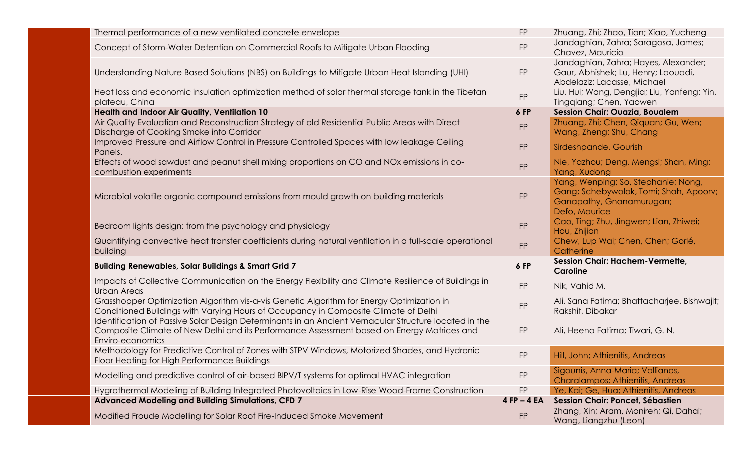| Thermal performance of a new ventilated concrete envelope                                                                                                                                                               | <b>FP</b>       | Zhuang, Zhi; Zhao, Tian; Xiao, Yucheng                                                                                     |
|-------------------------------------------------------------------------------------------------------------------------------------------------------------------------------------------------------------------------|-----------------|----------------------------------------------------------------------------------------------------------------------------|
| Concept of Storm-Water Detention on Commercial Roofs to Mitigate Urban Flooding                                                                                                                                         | <b>FP</b>       | Jandaghian, Zahra; Saragosa, James;<br>Chavez, Mauricio                                                                    |
| Understanding Nature Based Solutions (NBS) on Buildings to Mitigate Urban Heat Islanding (UHI)                                                                                                                          | <b>FP</b>       | Jandaghian, Zahra; Hayes, Alexander;<br>Gaur, Abhishek; Lu, Henry; Laouadi,<br>Abdelaziz; Lacasse, Michael                 |
| Heat loss and economic insulation optimization method of solar thermal storage tank in the Tibetan<br>plateau, China                                                                                                    | FP              | Liu, Hui; Wang, Dengjia; Liu, Yanfeng; Yin,<br>Tingqiang; Chen, Yaowen                                                     |
| <b>Health and Indoor Air Quality, Ventilation 10</b>                                                                                                                                                                    | 6 FP            | <b>Session Chair: Ouazia, Boualem</b>                                                                                      |
| Air Quality Evaluation and Reconstruction Strategy of old Residential Public Areas with Direct<br>Discharge of Cooking Smoke into Corridor                                                                              | <b>FP</b>       | Zhuang, Zhi; Chen, Qiquan; Gu, Wen;<br>Wang, Zheng; Shu, Chang                                                             |
| Improved Pressure and Airflow Control in Pressure Controlled Spaces with low leakage Ceiling<br>Panels.                                                                                                                 | <b>FP</b>       | Sirdeshpande, Gourish                                                                                                      |
| Effects of wood sawdust and peanut shell mixing proportions on CO and NOx emissions in co-<br>combustion experiments                                                                                                    | <b>FP</b>       | Nie, Yazhou; Deng, Mengsi; Shan, Ming;<br>Yang, Xudong                                                                     |
| Microbial volatile organic compound emissions from mould growth on building materials                                                                                                                                   | <b>FP</b>       | Yang, Wenping; So, Stephanie; Nong,<br>Gang; Schebywolok, Tomi; Shah, Apoorv;<br>Ganapathy, Gnanamurugan;<br>Defo, Maurice |
| Bedroom lights design: from the psychology and physiology                                                                                                                                                               | <b>FP</b>       | Cao, Ting; Zhu, Jingwen; Lian, Zhiwei;<br>Hou, Zhijian                                                                     |
| Quantifying convective heat transfer coefficients during natural ventilation in a full-scale operational<br>building                                                                                                    | <b>FP</b>       | Chew, Lup Wai; Chen, Chen; Gorlé,<br>Catherine                                                                             |
| <b>Building Renewables, Solar Buildings &amp; Smart Grid 7</b>                                                                                                                                                          | 6 FP            | <b>Session Chair: Hachem-Vermette,</b><br><b>Caroline</b>                                                                  |
| Impacts of Collective Communication on the Energy Flexibility and Climate Resilience of Buildings in<br>Urban Areas                                                                                                     | FP              | Nik, Vahid M.                                                                                                              |
| Grasshopper Optimization Algorithm vis-a-vis Genetic Algorithm for Energy Optimization in<br>Conditioned Buildings with Varying Hours of Occupancy in Composite Climate of Delhi                                        | <b>FP</b>       | Ali, Sana Fatima; Bhattacharjee, Bishwajit;<br>Rakshit, Dibakar                                                            |
| Identification of Passive Solar Design Determinants in an Ancient Vernacular Structure located in the<br>Composite Climate of New Delhi and its Performance Assessment based on Energy Matrices and<br>Enviro-economics | <b>FP</b>       | Ali, Heena Fatima; Tiwari, G. N.                                                                                           |
| Methodology for Predictive Control of Zones with STPV Windows, Motorized Shades, and Hydronic<br>Floor Heating for High Performance Buildings                                                                           | <b>FP</b>       | Hill, John; Athienitis, Andreas                                                                                            |
| Modelling and predictive control of air-based BIPV/T systems for optimal HVAC integration                                                                                                                               | <b>FP</b>       | Sigounis, Anna-Maria; Vallianos,<br><b>Charalampos; Athienitis, Andreas</b>                                                |
| Hygrothermal Modeling of Building Integrated Photovoltaics in Low-Rise Wood-Frame Construction                                                                                                                          | <b>FP</b>       | Ye, Kai; Ge, Hua; Athienitis, Andreas                                                                                      |
| <b>Advanced Modeling and Building Simulations, CFD 7</b>                                                                                                                                                                | $4$ FP $-$ 4 EA | Session Chair: Poncet, Sébastien                                                                                           |
| Modified Froude Modelling for Solar Roof Fire-Induced Smoke Movement                                                                                                                                                    | <b>FP</b>       | Zhang, Xin; Aram, Monireh; Qi, Dahai;<br>Wang, Liangzhu (Leon)                                                             |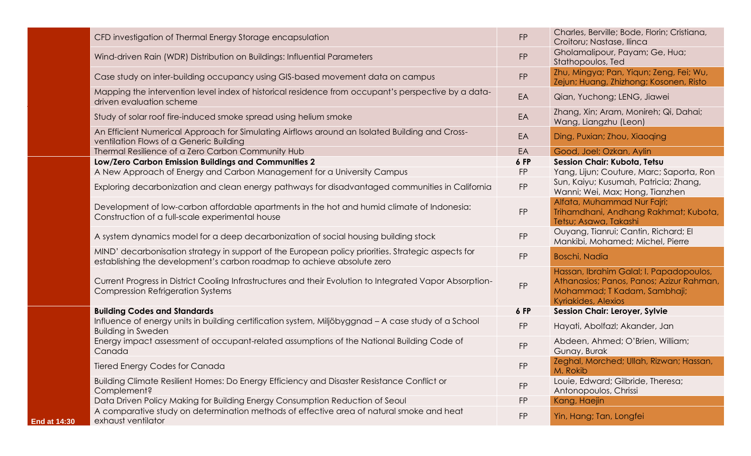|                     | CFD investigation of Thermal Energy Storage encapsulation                                                                                                                    | <b>FP</b>  | Charles, Berville; Bode, Florin; Cristiana,<br>Croitoru; Nastase, Ilinca                                                                          |
|---------------------|------------------------------------------------------------------------------------------------------------------------------------------------------------------------------|------------|---------------------------------------------------------------------------------------------------------------------------------------------------|
|                     | Wind-driven Rain (WDR) Distribution on Buildings: Influential Parameters                                                                                                     | <b>FP</b>  | Gholamalipour, Payam; Ge, Hua;<br>Stathopoulos, Ted                                                                                               |
|                     | Case study on inter-building occupancy using GIS-based movement data on campus                                                                                               | <b>FP</b>  | Zhu, Mingya; Pan, Yiqun; Zeng, Fei; Wu,<br>Zejun; Huang, Zhizhong; Kosonen, Risto                                                                 |
|                     | Mapping the intervention level index of historical residence from occupant's perspective by a data-<br>driven evaluation scheme                                              | EA         | Qian, Yuchong; LENG, Jiawei                                                                                                                       |
|                     | Study of solar roof fire-induced smoke spread using helium smoke                                                                                                             | EA         | Zhang, Xin; Aram, Monireh; Qi, Dahai;<br>Wang, Liangzhu (Leon)                                                                                    |
|                     | An Efficient Numerical Approach for Simulating Airflows around an Isolated Building and Cross-<br>ventilation Flows of a Generic Building                                    | EA         | Ding, Puxian; Zhou, Xiaoqing                                                                                                                      |
|                     | Thermal Resilience of a Zero Carbon Community Hub                                                                                                                            | EA         | Good, Joel; Ozkan, Aylin                                                                                                                          |
|                     | Low/Zero Carbon Emission Buildings and Communities 2                                                                                                                         | 6 FP       | Session Chair: Kubota, Tetsu                                                                                                                      |
|                     | A New Approach of Energy and Carbon Management for a University Campus                                                                                                       | <b>FP</b>  | Yang, Lijun; Couture, Marc; Saporta, Ron                                                                                                          |
|                     | Exploring decarbonization and clean energy pathways for disadvantaged communities in California                                                                              | ${\sf FP}$ | Sun, Kaiyu; Kusumah, Patricia; Zhang,<br>Wanni; Wei, Max; Hong, Tianzhen                                                                          |
|                     | Development of low-carbon affordable apartments in the hot and humid climate of Indonesia:<br>Construction of a full-scale experimental house                                | <b>FP</b>  | Alfata, Muhammad Nur Fajri;<br>Trihamdhani, Andhang Rakhmat; Kubota,<br>Tetsu; Asawa, Takashi                                                     |
|                     | A system dynamics model for a deep decarbonization of social housing building stock                                                                                          | <b>FP</b>  | Ouyang, Tianrui; Cantin, Richard; El<br>Mankibi, Mohamed; Michel, Pierre                                                                          |
|                     | MIND' decarbonisation strategy in support of the European policy priorities. Strategic aspects for<br>establishing the development's carbon roadmap to achieve absolute zero | <b>FP</b>  | <b>Boschi, Nadia</b>                                                                                                                              |
|                     | Current Progress in District Cooling Infrastructures and their Evolution to Integrated Vapor Absorption-<br><b>Compression Refrigeration Systems</b>                         | <b>FP</b>  | Hassan, Ibrahim Galal; I. Papadopoulos,<br>Athanasios; Panos, Panos; Azizur Rahman,<br>Mohammad; T Kadam, Sambhaji;<br><b>Kyriakides, Alexios</b> |
|                     | <b>Building Codes and Standards</b>                                                                                                                                          | 6 FP       | <b>Session Chair: Leroyer, Sylvie</b>                                                                                                             |
|                     | Influence of energy units in building certification system, Miljöbyggnad - A case study of a School<br><b>Building in Sweden</b>                                             | <b>FP</b>  | Hayati, Abolfazl; Akander, Jan                                                                                                                    |
|                     | Energy impact assessment of occupant-related assumptions of the National Building Code of<br>Canada                                                                          | <b>FP</b>  | Abdeen, Ahmed; O'Brien, William;<br>Gunay, Burak                                                                                                  |
|                     | <b>Tiered Energy Codes for Canada</b>                                                                                                                                        | FP         | Zeghal, Morched; Ullah, Rizwan; Hassan,<br>M. Rokib                                                                                               |
|                     | Building Climate Resilient Homes: Do Energy Efficiency and Disaster Resistance Conflict or<br>Complement?                                                                    | <b>FP</b>  | Louie, Edward; Gilbride, Theresa;<br>Antonopoulos, Chrissi                                                                                        |
|                     | Data Driven Policy Making for Building Energy Consumption Reduction of Seoul                                                                                                 | <b>FP</b>  | Kang, Haejin                                                                                                                                      |
| <b>End at 14:30</b> | A comparative study on determination methods of effective area of natural smoke and heat<br>exhaust ventilator                                                               | <b>FP</b>  | Yin, Hang; Tan, Longfei                                                                                                                           |